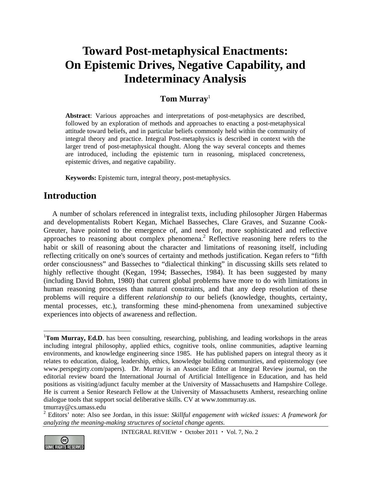# **Toward Post-metaphysical Enactments: On Epistemic Drives, Negative Capability, and Indeterminacy Analysis**

# **Tom Murray**<sup>1</sup>

**Abstract**: Various approaches and interpretations of post-metaphysics are described, followed by an exploration of methods and approaches to enacting a post-metaphysical attitude toward beliefs, and in particular beliefs commonly held within the community of integral theory and practice. Integral Post-metaphysics is described in context with the larger trend of post-metaphysical thought. Along the way several concepts and themes are introduced, including the epistemic turn in reasoning, misplaced concreteness, epistemic drives, and negative capability.

**Keywords:** Epistemic turn, integral theory, post-metaphysics.

# **Introduction**

A number of scholars referenced in integralist texts, including philosopher Jürgen Habermas and developmentalists Robert Kegan, Michael Basseches, Clare Graves, and Suzanne Cook-Greuter, have pointed to the emergence of, and need for, more sophisticated and reflective approaches to reasoning about complex phenomena.<sup>2</sup> Reflective reasoning here refers to the habit or skill of reasoning about the character and limitations of reasoning itself, including reflecting critically on one's sources of certainty and methods justification. Kegan refers to "fifth order consciousness" and Basseches to "dialectical thinking" in discussing skills sets related to highly reflective thought (Kegan, 1994; Basseches, 1984). It has been suggested by many (including David Bohm, 1980) that current global problems have more to do with limitations in human reasoning processes than natural constraints, and that any deep resolution of these problems will require a different *relationship to* our beliefs (knowledge, thoughts, certainty, mental processes, etc.), transforming these mind-phenomena from unexamined subjective experiences into objects of awareness and reflection.

<sup>2</sup> Editors' note: Also see Jordan, in this issue: *Skillful engagement with wicked issues: A framework for analyzing the meaning-making structures of societal change agents.* 





 $\overline{a}$ 

<sup>&</sup>lt;sup>1</sup>Tom Murray, Ed.D. has been consulting, researching, publishing, and leading workshops in the areas including integral philosophy, applied ethics, cognitive tools, online communities, adaptive learning environments, and knowledge engineering since 1985. He has published papers on integral theory as it relates to education, dialog, leadership, ethics, knowledge building communities, and epistemology (see www.perspegirty.com/papers). Dr. Murray is an Associate Editor at Integral Review journal, on the editorial review board the International Journal of Artificial Intelligence in Education, and has held positions as visiting/adjunct faculty member at the University of Massachusetts and Hampshire College. He is current a Senior Research Fellow at the University of Massachusetts Amherst, researching online dialogue tools that support social deliberative skills. CV at www.tommurray.us. tmurray@cs.umass.edu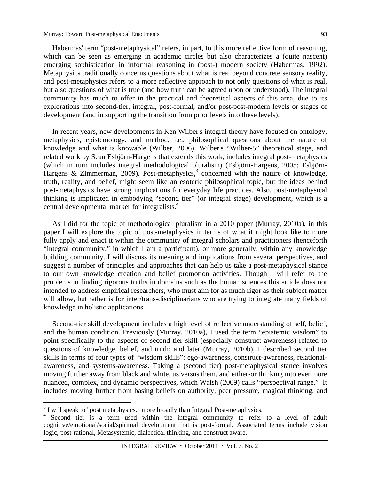Habermas' term "post-metaphysical" refers, in part, to this more reflective form of reasoning, which can be seen as emerging in academic circles but also characterizes a (quite nascent) emerging sophistication in informal reasoning in (post-) modern society (Habermas, 1992). Metaphysics traditionally concerns questions about what is real beyond concrete sensory reality,

and post-metaphysics refers to a more reflective approach to not only questions of what is real, but also questions of what is true (and how truth can be agreed upon or understood). The integral community has much to offer in the practical and theoretical aspects of this area, due to its explorations into second-tier, integral, post-formal, and/or post-post-modern levels or stages of development (and in supporting the transition from prior levels into these levels).

In recent years, new developments in Ken Wilber's integral theory have focused on ontology, metaphysics, epistemology, and method, i.e., philosophical questions about the nature of knowledge and what is knowable (Wilber, 2006). Wilber's "Wilber-5" theoretical stage, and related work by Sean Esbjörn-Hargens that extends this work, includes integral post-metaphysics (which in turn includes integral methodological pluralism) (Esbjörn-Hargens, 2005; Esbjörn-Hargens & Zimmerman, 2009). Post-metaphysics,<sup>3</sup> concerned with the nature of knowledge, truth, reality, and belief, might seem like an esoteric philosophical topic, but the ideas behind post-metaphysics have strong implications for everyday life practices. Also, post-metaphysical thinking is implicated in embodying "second tier" (or integral stage) development, which is a central developmental marker for integralists.<sup>4</sup>

As I did for the topic of methodological pluralism in a 2010 paper (Murray, 2010a), in this paper I will explore the topic of post-metaphysics in terms of what it might look like to more fully apply and enact it within the community of integral scholars and practitioners (henceforth "integral community," in which I am a participant), or more generally, within any knowledge building community. I will discuss its meaning and implications from several perspectives, and suggest a number of principles and approaches that can help us take a post-metaphysical stance to our own knowledge creation and belief promotion activities. Though I will refer to the problems in finding rigorous truths in domains such as the human sciences this article does not intended to address empirical researchers, who must aim for as much rigor as their subject matter will allow, but rather is for inter/trans-disciplinarians who are trying to integrate many fields of knowledge in holistic applications.

Second-tier skill development includes a high level of reflective understanding of self, belief, and the human condition. Previously (Murray, 2010a), I used the term "epistemic wisdom" to point specifically to the aspects of second tier skill (especially construct awareness) related to questions of knowledge, belief, and truth; and later (Murray, 2010b), I described second tier skills in terms of four types of "wisdom skills": ego-awareness, construct-awareness, relationalawareness, and systems-awareness. Taking a (second tier) post-metaphysical stance involves moving further away from black and white, us versus them, and either-or thinking into ever more nuanced, complex, and dynamic perspectives, which Walsh (2009) calls "perspectival range." It includes moving further from basing beliefs on authority, peer pressure, magical thinking, and

<u>.</u>

 $3$  I will speak to "post metaphysics," more broadly than Integral Post-metaphysics.

<sup>&</sup>lt;sup>4</sup> Second tier is a term used within the integral community to refer to a level of adult cognitive/emotional/social/spiritual development that is post-formal. Associated terms include vision logic, post-rational, Metasystemic, dialectical thinking, and construct aware.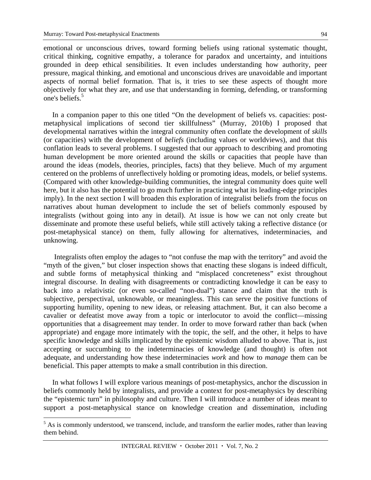emotional or unconscious drives, toward forming beliefs using rational systematic thought, critical thinking, cognitive empathy, a tolerance for paradox and uncertainty, and intuitions grounded in deep ethical sensibilities. It even includes understanding how authority, peer pressure, magical thinking, and emotional and unconscious drives are unavoidable and important aspects of normal belief formation. That is, it tries to see these aspects of thought more objectively for what they are, and use that understanding in forming, defending, or transforming one's beliefs.<sup>5</sup>

In a companion paper to this one titled "On the development of beliefs vs. capacities: postmetaphysical implications of second tier skillfulness" (Murray, 2010b) I proposed that developmental narratives within the integral community often conflate the development of *skills* (or capacities) with the development of *beliefs* (including values or worldviews), and that this conflation leads to several problems. I suggested that our approach to describing and promoting human development be more oriented around the skills or capacities that people have than around the ideas (models, theories, principles, facts) that they believe. Much of my argument centered on the problems of unreflectively holding or promoting ideas, models, or belief systems. (Compared with other knowledge-building communities, the integral community does quite well here, but it also has the potential to go much further in practicing what its leading-edge principles imply). In the next section I will broaden this exploration of integralist beliefs from the focus on narratives about human development to include the set of beliefs commonly espoused by integralists (without going into any in detail). At issue is how we can not only create but disseminate and promote these useful beliefs, while still actively taking a reflective distance (or post-metaphysical stance) on them, fully allowing for alternatives, indeterminacies, and unknowing.

 Integralists often employ the adages to "not confuse the map with the territory" and avoid the "myth of the given," but closer inspection shows that enacting these slogans is indeed difficult, and subtle forms of metaphysical thinking and "misplaced concreteness" exist throughout integral discourse. In dealing with disagreements or contradicting knowledge it can be easy to back into a relativistic (or even so-called "non-dual") stance and claim that the truth is subjective, perspectival, unknowable, or meaningless. This can serve the positive functions of supporting humility, opening to new ideas, or releasing attachment. But, it can also become a cavalier or defeatist move away from a topic or interlocutor to avoid the conflict—missing opportunities that a disagreement may tender. In order to move forward rather than back (when appropriate) and engage more intimately with the topic, the self, and the other, it helps to have specific knowledge and skills implicated by the epistemic wisdom alluded to above. That is, just accepting or succumbing to the indeterminacies of knowledge (and thought) is often not adequate, and understanding how these indeterminacies *work* and how to *manage* them can be beneficial. This paper attempts to make a small contribution in this direction.

In what follows I will explore various meanings of post-metaphysics, anchor the discussion in beliefs commonly held by integralists, and provide a context for post-metaphysics by describing the "epistemic turn" in philosophy and culture. Then I will introduce a number of ideas meant to support a post-metaphysical stance on knowledge creation and dissemination, including

 $<sup>5</sup>$  As is commonly understood, we transcend, include, and transform the earlier modes, rather than leaving</sup> them behind.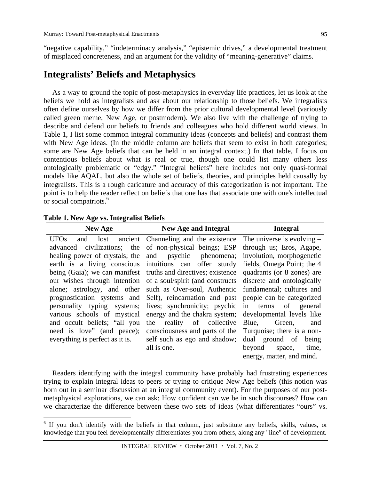"negative capability," "indeterminacy analysis," "epistemic drives," a developmental treatment of misplaced concreteness, and an argument for the validity of "meaning-generative" claims.

# **Integralists' Beliefs and Metaphysics**

As a way to ground the topic of post-metaphysics in everyday life practices, let us look at the beliefs we hold as integralists and ask about our relationship to those beliefs. We integralists often define ourselves by how we differ from the prior cultural developmental level (variously called green meme, New Age, or postmodern). We also live with the challenge of trying to describe and defend our beliefs to friends and colleagues who hold different world views. In Table 1, I list some common integral community ideas (concepts and beliefs) and contrast them with New Age ideas. (In the middle column are beliefs that seem to exist in both categories; some are New Age beliefs that can be held in an integral context.) In that table, I focus on contentious beliefs about what is real or true, though one could list many others less ontologically problematic or "edgy." "Integral beliefs" here includes not only quasi-formal models like AQAL, but also the whole set of beliefs, theories, and principles held causally by integralists. This is a rough caricature and accuracy of this categorization is not important. The point is to help the reader reflect on beliefs that one has that associate one with one's intellectual or social compatriots.<sup>6</sup>

**Table 1. New Age vs. Integralist Beliefs** 

 $\overline{a}$ 

| <b>New Age</b>                                                                                                               | New Age and Integral                                                                                                                                                                                                                                                                                                                                                                                                    | <b>Integral</b>                                                                  |
|------------------------------------------------------------------------------------------------------------------------------|-------------------------------------------------------------------------------------------------------------------------------------------------------------------------------------------------------------------------------------------------------------------------------------------------------------------------------------------------------------------------------------------------------------------------|----------------------------------------------------------------------------------|
|                                                                                                                              | $UFOs$ and lost ancient Channeling and the existence The universe is evolving –<br>advanced civilizations; the of non-physical beings; ESP through us; Eros, Agape,<br>healing power of crystals; the and psychic phenomena; involution, morphogenetic<br>earth is a living conscious intuitions can offer sturdy fields, Omega Point; the 4                                                                            |                                                                                  |
| personality typing systems;                                                                                                  | being (Gaia); we can manifest truths and directives; existence quadrants (or 8 zones) are<br>our wishes through intention of a soul/spirit (and constructs discrete and ontologically<br>alone; astrology, and other such as Over-soul, Authentic fundamental; cultures and<br>prognostication systems and Self), reincarnation and past people can be categorized<br>lives; synchronicity; psychic in terms of general |                                                                                  |
| various schools of mystical<br>and occult beliefs; "all you<br>need is love" (and peace);<br>everything is perfect as it is. | energy and the chakra system; developmental levels like<br>reality of collective<br>the<br>consciousness and parts of the Turquoise; there is a non-<br>self such as ego and shadow; dual ground of being<br>all is one.                                                                                                                                                                                                | Blue,<br>Green,<br>and<br>beyond<br>time,<br>space,<br>energy, matter, and mind. |

Readers identifying with the integral community have probably had frustrating experiences trying to explain integral ideas to peers or trying to critique New Age beliefs (this notion was born out in a seminar discussion at an integral community event). For the purposes of our postmetaphysical explorations, we can ask: How confident can we be in such discourses? How can we characterize the difference between these two sets of ideas (what differentiates "ours" vs.

<sup>&</sup>lt;sup>6</sup> If you don't identify with the beliefs in that column, just substitute any beliefs, skills, values, or knowledge that you feel developmentally differentiates you from others, along any "line" of development.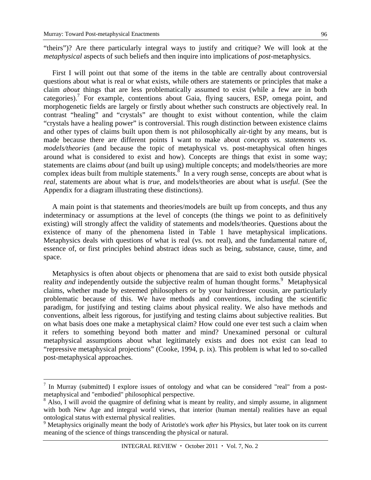1

"theirs")? Are there particularly integral ways to justify and critique? We will look at the *metaphysical* aspects of such beliefs and then inquire into implications of *post*-metaphysics.

First I will point out that some of the items in the table are centrally about controversial questions about what is real or what exists, while others are statements or principles that make a claim *about* things that are less problematically assumed to exist (while a few are in both categories).<sup>7</sup> For example, contentions about Gaia, flying saucers, ESP, omega point, and morphogenetic fields are largely or firstly about whether such constructs are objectively real. In contrast "healing" and "crystals" are thought to exist without contention, while the claim "crystals have a healing power" is controversial. This rough distinction between existence claims and other types of claims built upon them is not philosophically air-tight by any means, but is made because there are different points I want to make about *concepts vs. statements vs. models/theories* (and because the topic of metaphysical vs. post-metaphysical often hinges around what is considered to exist and how). Concepts are things that exist in some way; statements are claims *about* (and built up using) multiple concepts; and models/theories are more complex ideas built from multiple statements.  $\frac{8}{3}$  In a very rough sense, concepts are about what is *real*, statements are about what is *true*, and models/theories are about what is *useful.* (See the Appendix for a diagram illustrating these distinctions).

A main point is that statements and theories/models are built up from concepts, and thus any indeterminacy or assumptions at the level of concepts (the things we point to as definitively existing) will strongly affect the validity of statements and models/theories. Questions about the existence of many of the phenomena listed in Table 1 have metaphysical implications. Metaphysics deals with questions of what is real (vs. not real), and the fundamental nature of, essence of, or first principles behind abstract ideas such as being, substance, cause, time, and space.

Metaphysics is often about objects or phenomena that are said to exist both outside physical reality *and* independently outside the subjective realm of human thought forms.<sup>9</sup> Metaphysical claims, whether made by esteemed philosophers or by your hairdresser cousin, are particularly problematic because of this. We have methods and conventions, including the scientific paradigm, for justifying and testing claims about physical reality. We also have methods and conventions, albeit less rigorous, for justifying and testing claims about subjective realities. But on what basis does one make a metaphysical claim? How could one ever test such a claim when it refers to something beyond both matter and mind? Unexamined personal or cultural metaphysical assumptions about what legitimately exists and does not exist can lead to "repressive metaphysical projections" (Cooke, 1994, p. ix). This problem is what led to so-called post-metaphysical approaches.

 $<sup>7</sup>$  In Murray (submitted) I explore issues of ontology and what can be considered "real" from a post-</sup> metaphysical and "embodied" philosophical perspective.

<sup>&</sup>lt;sup>8</sup> Also, I will avoid the quagmire of defining what is meant by reality, and simply assume, in alignment with both New Age and integral world views, that interior (human mental) realities have an equal ontological status with external physical realities.

<sup>9</sup> Metaphysics originally meant the body of Aristotle's work *after* his Physics, but later took on its current meaning of the science of things transcending the physical or natural.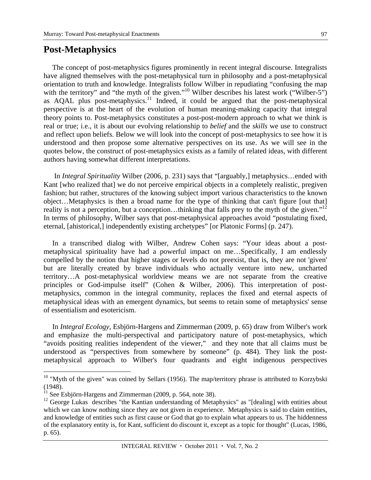# **Post-Metaphysics**

The concept of post-metaphysics figures prominently in recent integral discourse. Integralists have aligned themselves with the post-metaphysical turn in philosophy and a post-metaphysical orientation to truth and knowledge. Integralists follow Wilber in repudiating "confusing the map with the territory" and "the myth of the given."<sup>10</sup> Wilber describes his latest work ("Wilber-5") as AQAL plus post-metaphysics.<sup>11</sup> Indeed, it could be argued that the post-metaphysical perspective is at the heart of the evolution of human meaning-making capacity that integral theory points to. Post-metaphysics constitutes a post-post-modern approach to what we think is real or true; i.e., it is about our evolving relationship to *belief* and the *skills* we use to construct and reflect upon beliefs. Below we will look into the concept of post-metaphysics to see how it is understood and then propose some alternative perspectives on its use. As we will see in the quotes below, the construct of post-metaphysics exists as a family of related ideas, with different authors having somewhat different interpretations.

 In *Integral Spirituality* Wilber (2006, p. 231) says that "[arguably,] metaphysics…ended with Kant [who realized that] we do not perceive empirical objects in a completely realistic, pregiven fashion; but rather, structures of the knowing subject import various characteristics to the known object…Metaphysics is then a broad name for the type of thinking that can't figure [out that] reality is not a perception, but a conception...thinking that falls prey to the myth of the given."<sup>12</sup> In terms of philosophy, Wilber says that post-metaphysical approaches avoid "postulating fixed, eternal, [ahistorical,] independently existing archetypes" [or Platonic Forms] (p. 247).

In a transcribed dialog with Wilber, Andrew Cohen says: "Your ideas about a postmetaphysical spirituality have had a powerful impact on me…Specifically, I am endlessly compelled by the notion that higher stages or levels do not preexist, that is, they are not 'given' but are literally created by brave individuals who actually venture into new, uncharted territory…A post-metaphysical worldview means we are not separate from the creative principles or God-impulse itself" (Cohen & Wilber, 2006). This interpretation of postmetaphysics, common in the integral community, replaces the fixed and eternal aspects of metaphysical ideas with an emergent dynamics, but seems to retain some of metaphysics' sense of essentialism and esotericism.

In *Integral Ecology*, Esbjörn-Hargens and Zimmerman (2009, p. 65) draw from Wilber's work and emphasize the multi-perspectival and participatory nature of post-metaphysics, which "avoids positing realities independent of the viewer," and they note that all claims must be understood as "perspectives from somewhere by someone" (p. 484). They link the postmetaphysical approach to Wilber's four quadrants and eight indigenous perspectives

1

 $10$  "Myth of the given" was coined by Sellars (1956). The map/territory phrase is attributed to Korzybski (1948).

 $11$  See Esbjörn-Hargens and Zimmerman (2009, p. 564, note 38).

<sup>&</sup>lt;sup>12</sup> George Lukas describes "the Kantian understanding of Metaphysics" as "[dealing] with entities about which we can know nothing since they are not given in experience. Metaphysics is said to claim entities, and knowledge of entities such as first cause or God that go to explain what appears to us. The hiddenness of the explanatory entity is, for Kant, sufficient do discount it, except as a topic for thought" (Lucas, 1986, p. 65).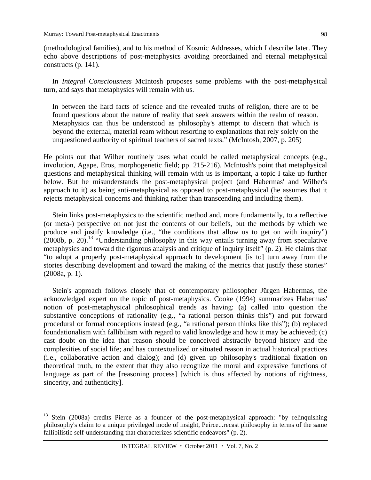(methodological families), and to his method of Kosmic Addresses, which I describe later. They echo above descriptions of post-metaphysics avoiding preordained and eternal metaphysical constructs (p. 141).

In *Integral Consciousness* McIntosh proposes some problems with the post-metaphysical turn, and says that metaphysics will remain with us.

In between the hard facts of science and the revealed truths of religion, there are to be found questions about the nature of reality that seek answers within the realm of reason. Metaphysics can thus be understood as philosophy's attempt to discern that which is beyond the external, material ream without resorting to explanations that rely solely on the unquestioned authority of spiritual teachers of sacred texts." (McIntosh, 2007, p. 205)

He points out that Wilber routinely uses what could be called metaphysical concepts (e.g., involution, Agape, Eros, morphogenetic field; pp. 215-216). McIntosh's point that metaphysical questions and metaphysical thinking will remain with us is important, a topic I take up further below. But he misunderstands the post-metaphysical project (and Habermas' and Wilber's approach to it) as being anti-metaphysical as opposed to post-metaphysical (he assumes that it rejects metaphysical concerns and thinking rather than transcending and including them).

Stein links post-metaphysics to the scientific method and, more fundamentally, to a reflective (or meta-) perspective on not just the contents of our beliefs, but the methods by which we produce and justify knowledge (i.e., "the conditions that allow us to get on with inquiry")  $(2008b, p. 20).$ <sup>13</sup> "Understanding philosophy in this way entails turning away from speculative metaphysics and toward the rigorous analysis and critique of inquiry itself" (p. 2). He claims that "to adopt a properly post-metaphysical approach to development [is to] turn away from the stories describing development and toward the making of the metrics that justify these stories" (2008a, p. 1).

Stein's approach follows closely that of contemporary philosopher Jürgen Habermas, the acknowledged expert on the topic of post-metaphysics. Cooke (1994) summarizes Habermas' notion of post-metaphysical philosophical trends as having: (a) called into question the substantive conceptions of rationality (e.g., "a rational person thinks this") and put forward procedural or formal conceptions instead (e.g., "a rational person thinks like this"); (b) replaced foundationalism with fallibilism with regard to valid knowledge and how it may be achieved; (c) cast doubt on the idea that reason should be conceived abstractly beyond history and the complexities of social life; and has contextualized or situated reason in actual historical practices (i.e., collaborative action and dialog); and (d) given up philosophy's traditional fixation on theoretical truth, to the extent that they also recognize the moral and expressive functions of language as part of the [reasoning process] [which is thus affected by notions of rightness, sincerity, and authenticity].

<sup>&</sup>lt;sup>13</sup> Stein (2008a) credits Pierce as a founder of the post-metaphysical approach: "by relinquishing philosophy's claim to a unique privileged mode of insight, Peirce...recast philosophy in terms of the same fallibilistic self-understanding that characterizes scientific endeavors" (p. 2).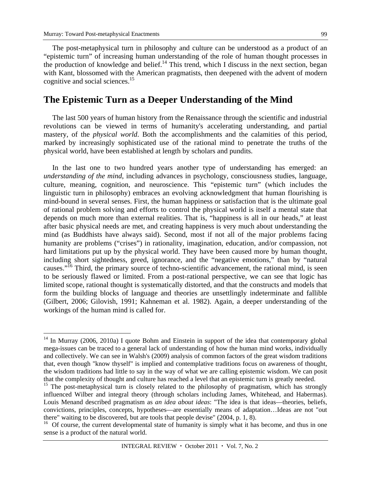The post-metaphysical turn in philosophy and culture can be understood as a product of an "epistemic turn" of increasing human understanding of the role of human thought processes in the production of knowledge and belief.<sup>14</sup> This trend, which I discuss in the next section, began with Kant, blossomed with the American pragmatists, then deepened with the advent of modern cognitive and social sciences.<sup>15</sup>

# **The Epistemic Turn as a Deeper Understanding of the Mind**

The last 500 years of human history from the Renaissance through the scientific and industrial revolutions can be viewed in terms of humanity's accelerating understanding, and partial mastery, of the *physical world*. Both the accomplishments and the calamities of this period, marked by increasingly sophisticated use of the rational mind to penetrate the truths of the physical world, have been established at length by scholars and pundits.

In the last one to two hundred years another type of understanding has emerged: an *understanding of the mind*, including advances in psychology, consciousness studies, language, culture, meaning, cognition, and neuroscience. This "epistemic turn" (which includes the linguistic turn in philosophy) embraces an evolving acknowledgment that human flourishing is mind-bound in several senses. First, the human happiness or satisfaction that is the ultimate goal of rational problem solving and efforts to control the physical world is itself a mental state that depends on much more than external realities. That is, "happiness is all in our heads," at least after basic physical needs are met, and creating happiness is very much about understanding the mind (as Buddhists have always said). Second, most if not all of the major problems facing humanity are problems ("crises") in rationality, imagination, education, and/or compassion, not hard limitations put up by the physical world. They have been caused more by human thought, including short sightedness, greed, ignorance, and the "negative emotions," than by "natural causes."<sup>16</sup> Third, the primary source of techno-scientific advancement, the rational mind, is seen to be seriously flawed or limited. From a post-rational perspective, we can see that logic has limited scope, rational thought is systematically distorted, and that the constructs and models that form the building blocks of language and theories are unsettlingly indeterminate and fallible (Gilbert, 2006; Gilovish, 1991; Kahneman et al. 1982). Again, a deeper understanding of the workings of the human mind is called for.

 $14$  In Murray (2006, 2010a) I quote Bohm and Einstein in support of the idea that contemporary global mega-issues can be traced to a general lack of understanding of how the human mind works, individually and collectively. We can see in Walsh's (2009) analysis of common factors of the great wisdom traditions that, even though "know thyself" is implied and contemplative traditions focus on awareness of thought, the wisdom traditions had little to say in the way of what we are calling epistemic wisdom. We can posit that the complexity of thought and culture has reached a level that an epistemic turn is greatly needed.

<sup>&</sup>lt;sup>15</sup> The post-metaphysical turn is closely related to the philosophy of pragmatism, which has strongly influenced Wilber and integral theory (through scholars including James, Whitehead, and Habermas). Louis Menand described pragmatism as *an idea about ideas*: "The idea is that ideas—theories, beliefs, convictions, principles, concepts, hypotheses—are essentially means of adaptation…Ideas are not "out there" waiting to be discovered, but are tools that people devise" (2004, p. 1, 8).

 $16$  Of course, the current developmental state of humanity is simply what it has become, and thus in one sense is a product of the natural world.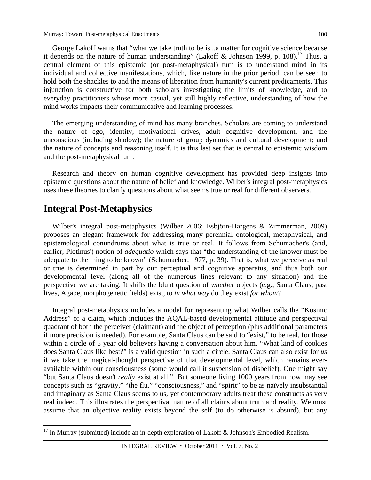George Lakoff warns that "what we take truth to be is...a matter for cognitive science because it depends on the nature of human understanding" (Lakoff & Johnson 1999, p. 108).<sup>17</sup> Thus, a central element of this epistemic (or post-metaphysical) turn is to understand mind in its individual and collective manifestations, which, like nature in the prior period, can be seen to hold both the shackles to and the means of liberation from humanity's current predicaments. This injunction is constructive for both scholars investigating the limits of knowledge, and to everyday practitioners whose more casual, yet still highly reflective, understanding of how the mind works impacts their communicative and learning processes.

The emerging understanding of mind has many branches. Scholars are coming to understand the nature of ego, identity, motivational drives, adult cognitive development, and the unconscious (including shadow); the nature of group dynamics and cultural development; and the nature of concepts and reasoning itself. It is this last set that is central to epistemic wisdom and the post-metaphysical turn.

Research and theory on human cognitive development has provided deep insights into epistemic questions about the nature of belief and knowledge. Wilber's integral post-metaphysics uses these theories to clarify questions about what seems true or real for different observers.

# **Integral Post-Metaphysics**

 $\overline{a}$ 

Wilber's integral post-metaphysics (Wilber 2006; Esbjörn-Hargens & Zimmerman, 2009) proposes an elegant framework for addressing many perennial ontological, metaphysical, and epistemological conundrums about what is true or real. It follows from Schumacher's (and, earlier, Plotinus') notion of *adequatio* which says that "the understanding of the knower must be adequate to the thing to be known" (Schumacher, 1977, p. 39). That is, what we perceive as real or true is determined in part by our perceptual and cognitive apparatus, and thus both our developmental level (along all of the numerous lines relevant to any situation) and the perspective we are taking. It shifts the blunt question of *whether* objects (e.g., Santa Claus, past lives, Agape, morphogenetic fields) exist, to *in what way* do they exist *for whom*?

Integral post-metaphysics includes a model for representing what Wilber calls the "Kosmic Address" of a claim, which includes the AQAL-based developmental altitude and perspectival quadrant of both the perceiver (claimant) and the object of perception (plus additional parameters if more precision is needed). For example, Santa Claus can be said to "exist," to be real, for those within a circle of 5 year old believers having a conversation about him. "What kind of cookies does Santa Claus like best?" is a valid question in such a circle. Santa Claus can also exist for *us* if we take the magical-thought perspective of that developmental level, which remains everavailable within our consciousness (some would call it suspension of disbelief). One might say "but Santa Claus doesn't *really* exist at all." But someone living 1000 years from now may see concepts such as "gravity," "the flu," "consciousness," and "spirit" to be as naïvely insubstantial and imaginary as Santa Claus seems to us, yet contemporary adults treat these constructs as very real indeed. This illustrates the perspectival nature of all claims about truth and reality. We must assume that an objective reality exists beyond the self (to do otherwise is absurd), but any

<sup>&</sup>lt;sup>17</sup> In Murray (submitted) include an in-depth exploration of Lakoff & Johnson's Embodied Realism.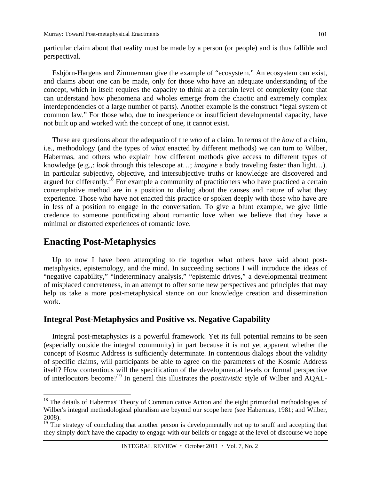particular claim about that reality must be made by a person (or people) and is thus fallible and perspectival.

Esbjörn-Hargens and Zimmerman give the example of "ecosystem." An ecosystem can exist, and claims about one can be made, only for those who have an adequate understanding of the concept, which in itself requires the capacity to think at a certain level of complexity (one that can understand how phenomena and wholes emerge from the chaotic and extremely complex interdependencies of a large number of parts). Another example is the construct "legal system of common law." For those who, due to inexperience or insufficient developmental capacity, have not built up and worked with the concept of one, it cannot exist.

These are questions about the adequatio of the *who* of a claim. In terms of the *how* of a claim, i.e., methodology (and the types of *what* enacted by different methods) we can turn to Wilber, Habermas, and others who explain how different methods give access to different types of knowledge (e.g.,: *look* through this telescope at…; *imagine* a body traveling faster than light…). In particular subjective, objective, and intersubjective truths or knowledge are discovered and argued for differently.<sup>18</sup> For example a community of practitioners who have practiced a certain contemplative method are in a position to dialog about the causes and nature of what they experience. Those who have not enacted this practice or spoken deeply with those who have are in less of a position to engage in the conversation. To give a blunt example, we give little credence to someone pontificating about romantic love when we believe that they have a minimal or distorted experiences of romantic love.

# **Enacting Post-Metaphysics**

 $\overline{a}$ 

Up to now I have been attempting to tie together what others have said about postmetaphysics, epistemology, and the mind. In succeeding sections I will introduce the ideas of "negative capability," "indeterminacy analysis," "epistemic drives," a developmental treatment of misplaced concreteness, in an attempt to offer some new perspectives and principles that may help us take a more post-metaphysical stance on our knowledge creation and dissemination work.

### **Integral Post-Metaphysics and Positive vs. Negative Capability**

Integral post-metaphysics is a powerful framework. Yet its full potential remains to be seen (especially outside the integral community) in part because it is not yet apparent whether the concept of Kosmic Address is sufficiently determinate. In contentious dialogs about the validity of specific claims, will participants be able to agree on the parameters of the Kosmic Address itself? How contentious will the specification of the developmental levels or formal perspective of interlocutors become?19 In general this illustrates the *positivistic* style of Wilber and AQAL-

<sup>&</sup>lt;sup>18</sup> The details of Habermas' Theory of Communicative Action and the eight primordial methodologies of Wilber's integral methodological pluralism are beyond our scope here (see Habermas, 1981; and Wilber, 2008).

<sup>&</sup>lt;sup>19</sup> The strategy of concluding that another person is developmentally not up to snuff and accepting that they simply don't have the capacity to engage with our beliefs or engage at the level of discourse we hope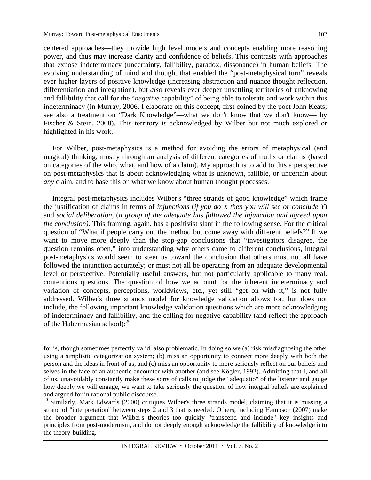centered approaches—they provide high level models and concepts enabling more reasoning power, and thus may increase clarity and confidence of beliefs. This contrasts with approaches that expose indeterminacy (uncertainty, fallibility, paradox, dissonance) in human beliefs. The evolving understanding of mind and thought that enabled the "post-metaphysical turn" reveals ever higher layers of positive knowledge (increasing abstraction and nuance thought reflection, differentiation and integration), but *also* reveals ever deeper unsettling territories of unknowing and fallibility that call for the "*negative* capability" of being able to tolerate and work within this indeterminacy (in Murray, 2006, I elaborate on this concept, first coined by the poet John Keats; see also a treatment on "Dark Knowledge"—what we don't know that we don't know— by Fischer & Stein, 2008). This territory is acknowledged by Wilber but not much explored or highlighted in his work.

For Wilber, post-metaphysics is a method for avoiding the errors of metaphysical (and magical) thinking, mostly through an analysis of different categories of truths or claims (based on categories of the who, what, and how of a claim). My approach is to add to this a perspective on post-metaphysics that is about acknowledging what is unknown, fallible, or uncertain about *any* claim, and to base this on what we know about human thought processes.

Integral post-metaphysics includes Wilber's "three strands of good knowledge" which frame the justification of claims in terms of *injunctions* (*if you do X then you will see or conclude Y*) and *social deliberation*, (*a group of the adequate has followed the injunction and agreed upon the conclusion)*. This framing, again, has a positivist slant in the following sense. For the critical question of "What if people carry out the method but come away with different beliefs?" If we want to move more deeply than the stop-gap conclusions that "investigators disagree, the question remains open," into understanding why others came to different conclusions, integral post-metaphysics would seem to steer us toward the conclusion that others must not all have followed the injunction accurately; or must not all be operating from an adequate developmental level or perspective. Potentially useful answers, but not particularly applicable to many real, contentious questions. The question of how we account for the inherent indeterminacy and variation of concepts, perceptions, worldviews, etc., yet still "get on with it," is not fully addressed. Wilber's three strands model for knowledge validation allows for, but does not include, the following important knowledge validation questions which are more acknowledging of indeterminacy and fallibility, and the calling for negative capability (and reflect the approach of the Habermasian school): $^{20}$ 

for is, though sometimes perfectly valid, also problematic. In doing so we (a) risk misdiagnosing the other using a simplistic categorization system; (b) miss an opportunity to connect more deeply with both the person and the ideas in front of us, and (c) miss an opportunity to more seriously reflect on our beliefs and selves in the face of an authentic encounter with another (and see Kögler, 1992). Admitting that I, and all of us, unavoidably constantly make these sorts of calls to judge the "adequatio" of the listener and gauge how deeply we will engage, we want to take seriously the question of how integral beliefs are explained and argued for in rational public discourse.

<sup>&</sup>lt;sup>20</sup> Similarly, Mark Edwards (2000) critiques Wilber's three strands model, claiming that it is missing a strand of "interpretation" between steps 2 and 3 that is needed. Others, including Hampson (2007) make the broader argument that Wilber's theories too quickly "transcend and include" key insights and principles from post-modernism, and do not deeply enough acknowledge the fallibility of knowledge into the theory-building.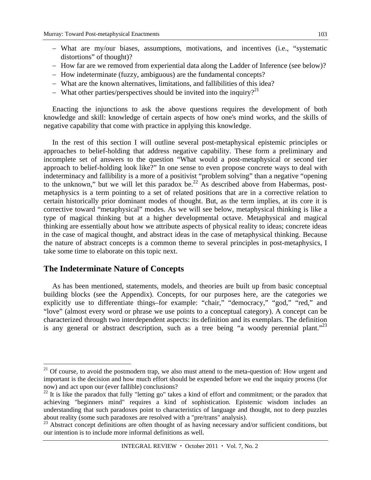- What are my/our biases, assumptions, motivations, and incentives (i.e., "systematic distortions" of thought)?
- How far are we removed from experiential data along the Ladder of Inference (see below)?
- How indeterminate (fuzzy, ambiguous) are the fundamental concepts?
- What are the known alternatives, limitations, and fallibilities of this idea?
- What other parties/perspectives should be invited into the inquiry?<sup>21</sup>

Enacting the injunctions to ask the above questions requires the development of both knowledge and skill: knowledge of certain aspects of how one's mind works, and the skills of negative capability that come with practice in applying this knowledge.

In the rest of this section I will outline several post-metaphysical epistemic principles or approaches to belief-holding that address negative capability. These form a preliminary and incomplete set of answers to the question "What would a post-metaphysical or second tier approach to belief-holding look like?" In one sense to even propose concrete ways to deal with indeterminacy and fallibility is a more of a positivist "problem solving" than a negative "opening to the unknown," but we will let this paradox be.<sup>22</sup> As described above from Habermas, postmetaphysics is a term pointing to a set of related positions that are in a corrective relation to certain historically prior dominant modes of thought. But, as the term implies, at its core it is corrective toward "metaphysical" modes. As we will see below, metaphysical thinking is like a type of magical thinking but at a higher developmental octave. Metaphysical and magical thinking are essentially about how we attribute aspects of physical reality to ideas; concrete ideas in the case of magical thought, and abstract ideas in the case of metaphysical thinking. Because the nature of abstract concepts is a common theme to several principles in post-metaphysics, I take some time to elaborate on this topic next.

### **The Indeterminate Nature of Concepts**

1

As has been mentioned, statements, models, and theories are built up from basic conceptual building blocks (see the Appendix). Concepts, for our purposes here, are the categories we explicitly use to differentiate things–for example: "chair," "democracy," "god," "red," and "love" (almost every word or phrase we use points to a conceptual category). A concept can be characterized through two interdependent aspects: its definition and its exemplars. The definition is any general or abstract description, such as a tree being "a woody perennial plant."<sup>23</sup>

 $21$  Of course, to avoid the postmodern trap, we also must attend to the meta-question of: How urgent and important is the decision and how much effort should be expended before we end the inquiry process (for now) and act upon our (ever fallible) conclusions?

<sup>&</sup>lt;sup>22</sup> It is like the paradox that fully "letting go" takes a kind of effort and commitment; or the paradox that achieving "beginners mind" requires a kind of sophistication. Epistemic wisdom includes an understanding that such paradoxes point to characteristics of language and thought, not to deep puzzles about reality (some such paradoxes are resolved with a "pre/trans" analysis).

<sup>&</sup>lt;sup>23</sup> Abstract concept definitions are often thought of as having necessary and/or sufficient conditions, but our intention is to include more informal definitions as well.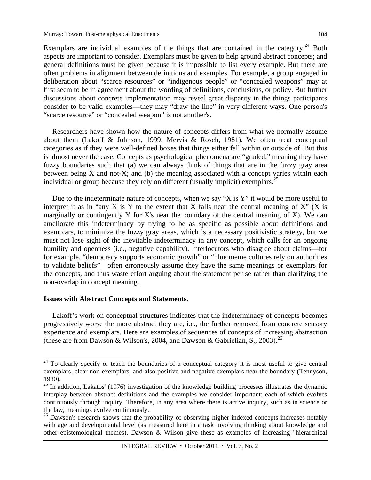Exemplars are individual examples of the things that are contained in the category.<sup>24</sup> Both aspects are important to consider. Exemplars must be given to help ground abstract concepts; and general definitions must be given because it is impossible to list every example. But there are often problems in alignment between definitions and examples. For example, a group engaged in deliberation about "scarce resources" or "indigenous people" or "concealed weapons" may at first seem to be in agreement about the wording of definitions, conclusions, or policy. But further discussions about concrete implementation may reveal great disparity in the things participants consider to be valid examples—they may "draw the line" in very different ways. One person's "scarce resource" or "concealed weapon" is not another's.

Researchers have shown how the nature of concepts differs from what we normally assume about them (Lakoff & Johnson, 1999; Mervis & Rosch, 1981). We often treat conceptual categories as if they were well-defined boxes that things either fall within or outside of. But this is almost never the case. Concepts as psychological phenomena are "graded," meaning they have fuzzy boundaries such that (a) we can always think of things that are in the fuzzy gray area between being X and not-X; and (b) the meaning associated with a concept varies within each individual or group because they rely on different (usually implicit) exemplars.<sup>25</sup>

Due to the indeterminate nature of concepts, when we say "X is Y" it would be more useful to interpret it as in "any X is Y to the extent that X falls near the central meaning of X" (X is marginally or contingently Y for X's near the boundary of the central meaning of X). We can ameliorate this indeterminacy by trying to be as specific as possible about definitions and exemplars, to minimize the fuzzy gray areas, which is a necessary positivistic strategy, but we must not lose sight of the inevitable indeterminacy in any concept, which calls for an ongoing humility and openness (i.e., negative capability). Interlocutors who disagree about claims—for for example, "democracy supports economic growth" or "blue meme cultures rely on authorities to validate beliefs"—often erroneously assume they have the same meanings or exemplars for the concepts, and thus waste effort arguing about the statement per se rather than clarifying the non-overlap in concept meaning.

#### **Issues with Abstract Concepts and Statements.**

 $\overline{a}$ 

Lakoff's work on conceptual structures indicates that the indeterminacy of concepts becomes progressively worse the more abstract they are, i.e., the further removed from concrete sensory experience and exemplars. Here are examples of sequences of concepts of increasing abstraction (these are from Dawson & Wilson's, 2004, and Dawson & Gabrielian, S., 2003).<sup>26</sup>

 $24$  To clearly specify or teach the boundaries of a conceptual category it is most useful to give central exemplars, clear non-exemplars, and also positive and negative exemplars near the boundary (Tennyson, 1980).

 $^{25}$  In addition, Lakatos' (1976) investigation of the knowledge building processes illustrates the dynamic interplay between abstract definitions and the examples we consider important; each of which evolves continuously through inquiry. Therefore, in any area where there is active inquiry, such as in science or the law, meanings evolve continuously.

<sup>&</sup>lt;sup>26</sup> Dawson's research shows that the probability of observing higher indexed concepts increases notably with age and developmental level (as measured here in a task involving thinking about knowledge and other epistemological themes). Dawson & Wilson give these as examples of increasing "hierarchical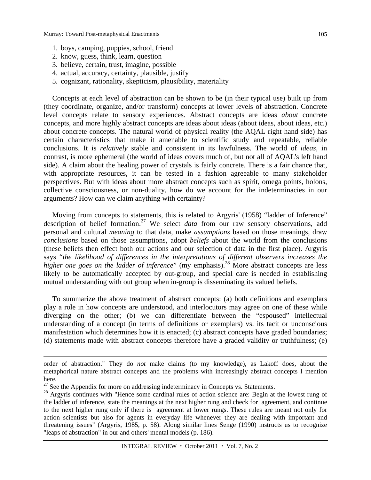- 1. boys, camping, puppies, school, friend
- 2. know, guess, think, learn, question
- 3. believe, certain, trust, imagine, possible
- 4. actual, accuracy, certainty, plausible, justify
- 5. cognizant, rationality, skepticism, plausibility, materiality

Concepts at each level of abstraction can be shown to be (in their typical use) built up from (they coordinate, organize, and/or transform) concepts at lower levels of abstraction. Concrete level concepts relate to sensory experiences. Abstract concepts are ideas *about* concrete concepts, and more highly abstract concepts are ideas about ideas (about ideas, about ideas, etc.) about concrete concepts. The natural world of physical reality (the AQAL right hand side) has certain characteristics that make it amenable to scientific study and repeatable, reliable conclusions. It is *relatively* stable and consistent in its lawfulness. The world of *ideas,* in contrast, is more ephemeral (the world of ideas covers much of, but not all of AQAL's left hand side). A claim about the healing power of crystals is fairly concrete. There is a fair chance that, with appropriate resources, it can be tested in a fashion agreeable to many stakeholder perspectives. But with ideas about more abstract concepts such as spirit, omega points, holons, collective consciousness, or non-duality, how do we account for the indeterminacies in our arguments? How can we claim anything with certainty?

Moving from concepts to statements, this is related to Argyris' (1958) "ladder of Inference" description of belief formation.<sup>27</sup> We select *data* from our raw sensory observations, add personal and cultural *meaning* to that data, make *assumptions* based on those meanings, draw *conclusions* based on those assumptions, adopt *beliefs* about the world from the conclusions (these beliefs then effect both our actions and our selection of data in the first place). Argyris says "*the likelihood of differences in the interpretations of different observers increases the higher one goes on the ladder of inference*" (my emphasis).<sup>28</sup> More abstract concepts are less likely to be automatically accepted by out-group, and special care is needed in establishing mutual understanding with out group when in-group is disseminating its valued beliefs.

To summarize the above treatment of abstract concepts: (a) both definitions and exemplars play a role in how concepts are understood, and interlocutors may agree on one of these while diverging on the other; (b) we can differentiate between the "espoused" intellectual understanding of a concept (in terms of definitions or exemplars) vs. its tacit or unconscious manifestation which determines how it is enacted; (c) abstract concepts have graded boundaries; (d) statements made with abstract concepts therefore have a graded validity or truthfulness; (e)

 $\overline{a}$ 

order of abstraction." They do *not* make claims (to my knowledge), as Lakoff does, about the metaphorical nature abstract concepts and the problems with increasingly abstract concepts I mention here.

 $27$  See the Appendix for more on addressing indeterminacy in Concepts vs. Statements.

<sup>&</sup>lt;sup>28</sup> Argyris continues with "Hence some cardinal rules of action science are: Begin at the lowest rung of the ladder of inference, state the meanings at the next higher rung and check for agreement, and continue to the next higher rung only if there is agreement at lower rungs. These rules are meant not only for action scientists but also for agents in everyday life whenever they are dealing with important and threatening issues" (Argyris, 1985, p. 58). Along similar lines Senge (1990) instructs us to recognize "leaps of abstraction" in our and others' mental models (p. 186).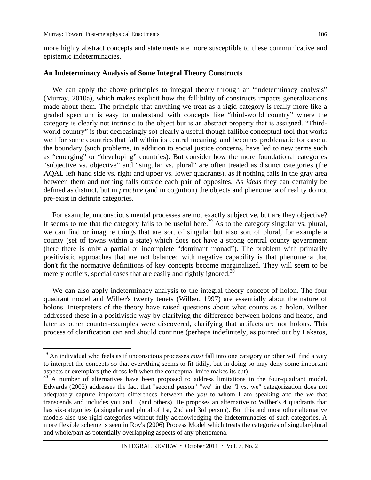epistemic indeterminacies.

 $\overline{a}$ 

more highly abstract concepts and statements are more susceptible to these communicative and

# **An Indeterminacy Analysis of Some Integral Theory Constructs**

We can apply the above principles to integral theory through an "indeterminacy analysis" (Murray, 2010a), which makes explicit how the fallibility of constructs impacts generalizations made about them. The principle that anything we treat as a rigid category is really more like a graded spectrum is easy to understand with concepts like "third-world country" where the category is clearly not intrinsic to the object but is an abstract property that is assigned. "Thirdworld country" is (but decreasingly so) clearly a useful though fallible conceptual tool that works well for some countries that fall within its central meaning, and becomes problematic for case at the boundary (such problems, in addition to social justice concerns, have led to new terms such as "emerging" or "developing" countries). But consider how the more foundational categories "subjective vs. objective" and "singular vs. plural" are often treated as distinct categories (the AQAL left hand side vs. right and upper vs. lower quadrants), as if nothing falls in the gray area between them and nothing falls outside each pair of opposites. As *ideas* they can certainly be defined as distinct, but in *practice* (and in cognition) the objects and phenomena of reality do not pre-exist in definite categories.

For example, unconscious mental processes are not exactly subjective, but are they objective? It seems to me that the category fails to be useful here.<sup>29</sup> As to the category singular vs. plural, we can find or imagine things that are sort of singular but also sort of plural, for example a county (set of towns within a state) which does not have a strong central county government (here there is only a partial or incomplete "dominant monad"). The problem with primarily positivistic approaches that are not balanced with negative capability is that phenomena that don't fit the normative definitions of key concepts become marginalized. They will seem to be merely outliers, special cases that are easily and rightly ignored.<sup>30</sup>

We can also apply indeterminacy analysis to the integral theory concept of holon. The four quadrant model and Wilber's twenty tenets (Wilber, 1997) are essentially about the nature of holons. Interpreters of the theory have raised questions about what counts as a holon. Wilber addressed these in a positivistic way by clarifying the difference between holons and heaps, and later as other counter-examples were discovered, clarifying that artifacts are not holons. This process of clarification can and should continue (perhaps indefinitely, as pointed out by Lakatos,

<sup>29</sup> An individual who feels as if unconscious processes *must* fall into one category or other will find a way to interpret the concepts so that everything seems to fit tidily, but in doing so may deny some important aspects or exemplars (the dross left when the conceptual knife makes its cut).

<sup>30</sup> A number of alternatives have been proposed to address limitations in the four-quadrant model. Edwards (2002) addresses the fact that "second person" "we" in the "I vs. we" categorization does not adequately capture important differences between the *you* to whom I am speaking and the *we* that transcends and includes you and I (and others). He proposes an alternative to Wilber's 4 quadrants that has six-categories (a singular and plural of 1st, 2nd and 3rd person). But this and most other alternative models also use rigid categories without fully acknowledging the indeterminacies of such categories. A more flexible scheme is seen in Roy's (2006) Process Model which treats the categories of singular/plural and whole/part as potentially overlapping aspects of any phenomena.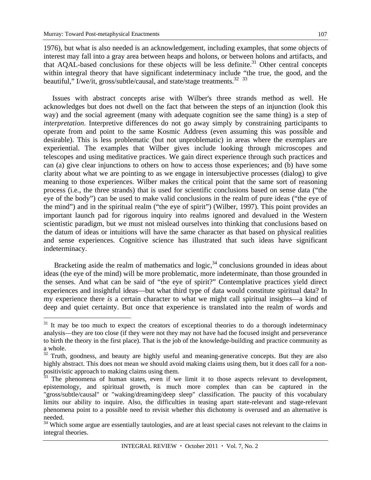107

1976), but what is also needed is an acknowledgement, including examples, that some objects of interest may fall into a gray area between heaps and holons, or between holons and artifacts, and that AQAL-based conclusions for these objects will be less definite.<sup>31</sup> Other central concepts within integral theory that have significant indeterminacy include "the true, the good, and the beautiful,"  $\overline{I}/\overline{w}e/\overline{t}$ , gross/subtle/causal, and state/stage treatments.<sup>32</sup> <sup>33</sup>

Issues with abstract concepts arise with Wilber's three strands method as well. He acknowledges but does not dwell on the fact that between the steps of an injunction (look this way) and the social agreement (many with adequate cognition see the same thing) is a step of *interpretation*. Interpretive differences do not go away simply by constraining participants to operate from and point to the same Kosmic Address (even assuming this was possible and desirable). This is less problematic (but not unproblematic) in areas where the exemplars are experiential. The examples that Wilber gives include looking through microscopes and telescopes and using meditative practices. We gain direct experience through such practices and can (a) give clear injunctions to others on how to access those experiences; and (b) have some clarity about what we are pointing to as we engage in intersubjective processes (dialog) to give meaning to those experiences. Wilber makes the critical point that the same sort of reasoning process (i.e., the three strands) that is used for scientific conclusions based on sense data ("the eye of the body") can be used to make valid conclusions in the realm of pure ideas ("the eye of the mind") and in the spiritual realm ("the eye of spirit") (Wilber, 1997). This point provides an important launch pad for rigorous inquiry into realms ignored and devalued in the Western scientistic paradigm, but we must not mislead ourselves into thinking that conclusions based on the datum of ideas or intuitions will have the same character as that based on physical realities and sense experiences. Cognitive science has illustrated that such ideas have significant indeterminacy.

Bracketing aside the realm of mathematics and logic, $34$  conclusions grounded in ideas about ideas (the eye of the mind) will be more problematic, more indeterminate, than those grounded in the senses. And what can be said of "the eye of spirit?" Contemplative practices yield direct experiences and insightful ideas—but what third type of data would constitute spiritual data? In my experience there *is* a certain character to what we might call spiritual insights—a kind of deep and quiet certainty. But once that experience is translated into the realm of words and

 $\overline{a}$  $31$  It may be too much to expect the creators of exceptional theories to do a thorough indeterminacy analysis—they are too close (if they were not they may not have had the focused insight and perseverance to birth the theory in the first place). That is the job of the knowledge-building and practice community as a whole.

<sup>&</sup>lt;sup>32</sup> Truth, goodness, and beauty are highly useful and meaning-generative concepts. But they are also highly abstract. This does not mean we should avoid making claims using them, but it does call for a nonpositivistic approach to making claims using them.

The phenomena of human states, even if we limit it to those aspects relevant to development, epistemology, and spiritual growth, is much more complex than can be captured in the "gross/subtle/causal" or "waking/dreaming/deep sleep" classification. The paucity of this vocabulary limits our ability to inquire. Also, the difficulties in teasing apart state-relevant and stage-relevant phenomena point to a possible need to revisit whether this dichotomy is overused and an alternative is needed.

<sup>&</sup>lt;sup>34</sup> Which some argue are essentially tautologies, and are at least special cases not relevant to the claims in integral theories.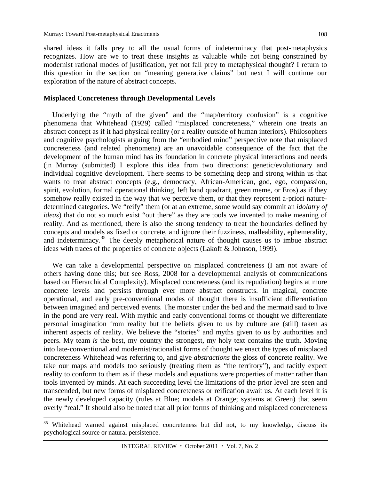shared ideas it falls prey to all the usual forms of indeterminacy that post-metaphysics recognizes. How are we to treat these insights as valuable while not being constrained by modernist rational modes of justification, yet not fall prey to metaphysical thought? I return to this question in the section on "meaning generative claims" but next I will continue our exploration of the nature of abstract concepts.

#### **Misplaced Concreteness through Developmental Levels**

Underlying the "myth of the given" and the "map/territory confusion" is a cognitive phenomena that Whitehead (1929) called "misplaced concreteness," wherein one treats an abstract concept as if it had physical reality (or a reality outside of human interiors). Philosophers and cognitive psychologists arguing from the "embodied mind" perspective note that misplaced concreteness (and related phenomena) are an unavoidable consequence of the fact that the development of the human mind has its foundation in concrete physical interactions and needs (in Murray (submitted) I explore this idea from two directions: genetic/evolutionary and individual cognitive development. There seems to be something deep and strong within us that wants to treat abstract concepts (e.g., democracy, African-American, god, ego, compassion, spirit, evolution, formal operational thinking, left hand quadrant, green meme, or Eros) as if they somehow really existed in the way that we perceive them, or that they represent a-priori naturedetermined categories. We "reify" them (or at an extreme, some would say commit an *idolatry of ideas*) that do not so much exist "out there" as they are tools we invented to make meaning of reality. And as mentioned, there is also the strong tendency to treat the boundaries defined by concepts and models as fixed or concrete, and ignore their fuzziness, malleability, ephemerality, and indeterminacy.<sup>35</sup> The deeply metaphorical nature of thought causes us to imbue abstract ideas with traces of the properties of concrete objects (Lakoff & Johnson, 1999).

We can take a developmental perspective on misplaced concreteness (I am not aware of others having done this; but see Ross, 2008 for a developmental analysis of communications based on Hierarchical Complexity). Misplaced concreteness (and its repudiation) begins at more concrete levels and persists through ever more abstract constructs. In magical, concrete operational, and early pre-conventional modes of thought there is insufficient differentiation between imagined and perceived events. The monster under the bed and the mermaid said to live in the pond are very real. With mythic and early conventional forms of thought we differentiate personal imagination from reality but the beliefs given to us by culture are (still) taken as inherent aspects of reality. We believe the "stories" and myths given to us by authorities and peers. My team *is* the best, my country the strongest, my holy text contains the truth. Moving into late-conventional and modernist/rationalist forms of thought we enact the types of misplaced concreteness Whitehead was referring to, and give *abstractions* the gloss of concrete reality. We take our maps and models too seriously (treating them as "the territory"), and tacitly expect reality to conform to them as if these models and equations were properties of matter rather than tools invented by minds. At each succeeding level the limitations of the prior level are seen and transcended, but new forms of misplaced concreteness or reification await us. At each level it is the newly developed capacity (rules at Blue; models at Orange; systems at Green) that seem overly "real." It should also be noted that all prior forms of thinking and misplaced concreteness

<sup>&</sup>lt;sup>35</sup> Whitehead warned against misplaced concreteness but did not, to my knowledge, discuss its psychological source or natural persistence.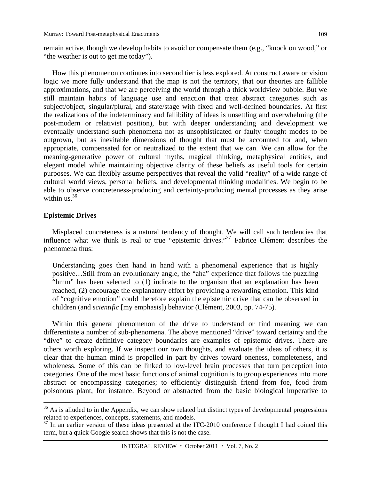remain active, though we develop habits to avoid or compensate them (e.g., "knock on wood," or "the weather is out to get me today").

How this phenomenon continues into second tier is less explored. At construct aware or vision logic we more fully understand that the map is not the territory, that our theories are fallible approximations, and that we are perceiving the world through a thick worldview bubble. But we still maintain habits of language use and enaction that treat abstract categories such as subject/object, singular/plural, and state/stage with fixed and well-defined boundaries. At first the realizations of the indeterminacy and fallibility of ideas is unsettling and overwhelming (the post-modern or relativist position), but with deeper understanding and development we eventually understand such phenomena not as unsophisticated or faulty thought modes to be outgrown, but as inevitable dimensions of thought that must be accounted for and, when appropriate, compensated for or neutralized to the extent that we can. We can allow for the meaning-generative power of cultural myths, magical thinking, metaphysical entities, and elegant model while maintaining objective clarity of these beliefs as useful tools for certain purposes. We can flexibly assume perspectives that reveal the valid "reality" of a wide range of cultural world views, personal beliefs, and developmental thinking modalities. We begin to be able to observe concreteness-producing and certainty-producing mental processes as they arise within us. $36$ 

#### **Epistemic Drives**

<u>.</u>

Misplaced concreteness is a natural tendency of thought. We will call such tendencies that influence what we think is real or true "epistemic drives."37 Fabrice Clément describes the phenomena thus:

Understanding goes then hand in hand with a phenomenal experience that is highly positive…Still from an evolutionary angle, the "aha" experience that follows the puzzling "hmm" has been selected to (1) indicate to the organism that an explanation has been reached, (2) encourage the explanatory effort by providing a rewarding emotion. This kind of "cognitive emotion" could therefore explain the epistemic drive that can be observed in children (and *scientific* [my emphasis]) behavior (Clément, 2003, pp. 74-75).

Within this general phenomenon of the drive to understand or find meaning we can differentiate a number of sub-phenomena. The above mentioned "drive" toward certainty and the "dive" to create definitive category boundaries are examples of epistemic drives. There are others worth exploring. If we inspect our own thoughts, and evaluate the ideas of others, it is clear that the human mind is propelled in part by drives toward oneness, completeness, and wholeness. Some of this can be linked to low-level brain processes that turn perception into categories. One of the most basic functions of animal cognition is to group experiences into more abstract or encompassing categories; to efficiently distinguish friend from foe, food from poisonous plant, for instance. Beyond or abstracted from the basic biological imperative to

 $36$  As is alluded to in the Appendix, we can show related but distinct types of developmental progressions related to experiences, concepts, statements, and models.

<sup>&</sup>lt;sup>37</sup> In an earlier version of these ideas presented at the ITC-2010 conference I thought I had coined this term, but a quick Google search shows that this is not the case.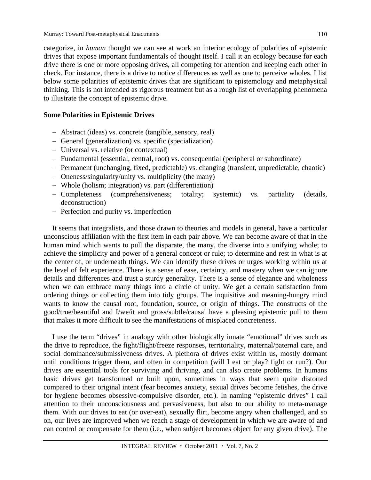categorize, in *human* thought we can see at work an interior ecology of polarities of epistemic drives that expose important fundamentals of thought itself. I call it an ecology because for each drive there is one or more opposing drives, all competing for attention and keeping each other in check. For instance, there is a drive to notice differences as well as one to perceive wholes. I list below some polarities of epistemic drives that are significant to epistemology and metaphysical thinking. This is not intended as rigorous treatment but as a rough list of overlapping phenomena to illustrate the concept of epistemic drive.

#### **Some Polarities in Epistemic Drives**

- Abstract (ideas) vs. concrete (tangible, sensory, real)
- General (generalization) vs. specific (specialization)
- Universal vs. relative (or contextual)
- Fundamental (essential, central, root) vs. consequential (peripheral or subordinate)
- Permanent (unchanging, fixed, predictable) vs. changing (transient, unpredictable, chaotic)
- Oneness/singularity/unity vs. multiplicity (the many)
- Whole (holism; integration) vs. part (differentiation)
- Completeness (comprehensiveness; totality; systemic) vs. partiality (details, deconstruction)
- Perfection and purity vs. imperfection

It seems that integralists, and those drawn to theories and models in general, have a particular unconscious affiliation with the first item in each pair above. We can become aware of that in the human mind which wants to pull the disparate, the many, the diverse into a unifying whole; to achieve the simplicity and power of a general concept or rule; to determine and rest in what is at the center of, or underneath things. We can identify these drives or urges working within us at the level of felt experience. There is a sense of ease, certainty, and mastery when we can ignore details and differences and trust a sturdy generality. There is a sense of elegance and wholeness when we can embrace many things into a circle of unity. We get a certain satisfaction from ordering things or collecting them into tidy groups. The inquisitive and meaning-hungry mind wants to know the causal root, foundation, source, or origin of things. The constructs of the good/true/beautiful and I/we/it and gross/subtle/causal have a pleasing epistemic pull to them that makes it more difficult to see the manifestations of misplaced concreteness.

I use the term "drives" in analogy with other biologically innate "emotional" drives such as the drive to reproduce, the fight/flight/freeze responses, territoriality, maternal/paternal care, and social dominance/submissiveness drives. A plethora of drives exist within us, mostly dormant until conditions trigger them, and often in competition (will I eat or play? fight or run?). Our drives are essential tools for surviving and thriving, and can also create problems. In humans basic drives get transformed or built upon, sometimes in ways that seem quite distorted compared to their original intent (fear becomes anxiety, sexual drives become fetishes, the drive for hygiene becomes obsessive-compulsive disorder, etc.). In naming "epistemic drives" I call attention to their unconsciousness and pervasiveness, but also to our ability to meta-manage them. With our drives to eat (or over-eat), sexually flirt, become angry when challenged, and so on, our lives are improved when we reach a stage of development in which we are aware of and can control or compensate for them (i.e., when subject becomes object for any given drive). The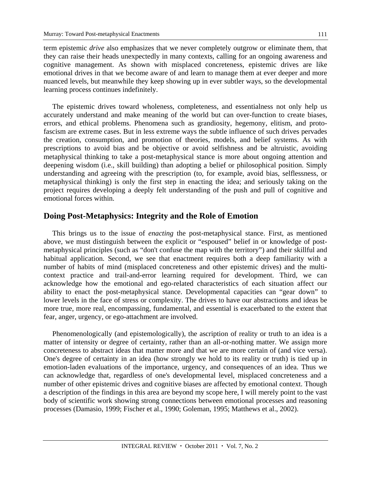term epistemic *drive* also emphasizes that we never completely outgrow or eliminate them, that they can raise their heads unexpectedly in many contexts, calling for an ongoing awareness and cognitive management. As shown with misplaced concreteness, epistemic drives are like emotional drives in that we become aware of and learn to manage them at ever deeper and more nuanced levels, but meanwhile they keep showing up in ever subtler ways, so the developmental learning process continues indefinitely.

The epistemic drives toward wholeness, completeness, and essentialness not only help us accurately understand and make meaning of the world but can over-function to create biases, errors, and ethical problems. Phenomena such as grandiosity, hegemony, elitism, and protofascism are extreme cases. But in less extreme ways the subtle influence of such drives pervades the creation, consumption, and promotion of theories, models, and belief systems. As with prescriptions to avoid bias and be objective or avoid selfishness and be altruistic, avoiding metaphysical thinking to take a post-metaphysical stance is more about ongoing attention and deepening wisdom (i.e., skill building) than adopting a belief or philosophical position. Simply understanding and agreeing with the prescription (to, for example, avoid bias, selflessness, or metaphysical thinking) is only the first step in enacting the idea; and seriously taking on the project requires developing a deeply felt understanding of the push and pull of cognitive and emotional forces within.

### **Doing Post-Metaphysics: Integrity and the Role of Emotion**

This brings us to the issue of *enacting* the post-metaphysical stance. First, as mentioned above, we must distinguish between the explicit or "espoused" belief in or knowledge of postmetaphysical principles (such as "don't confuse the map with the territory") and their skillful and habitual application. Second, we see that enactment requires both a deep familiarity with a number of habits of mind (misplaced concreteness and other epistemic drives) and the multicontext practice and trail-and-error learning required for development. Third, we can acknowledge how the emotional and ego-related characteristics of each situation affect our ability to enact the post-metaphysical stance. Developmental capacities can "gear down" to lower levels in the face of stress or complexity. The drives to have our abstractions and ideas be more true, more real, encompassing, fundamental, and essential is exacerbated to the extent that fear, anger, urgency, or ego-attachment are involved.

Phenomenologically (and epistemologically), the ascription of reality or truth to an idea is a matter of intensity or degree of certainty, rather than an all-or-nothing matter. We assign more concreteness to abstract ideas that matter more and that we are more certain of (and vice versa). One's degree of certainty in an idea (how strongly we hold to its reality or truth) is tied up in emotion-laden evaluations of the importance, urgency, and consequences of an idea. Thus we can acknowledge that, regardless of one's developmental level, misplaced concreteness and a number of other epistemic drives and cognitive biases are affected by emotional context. Though a description of the findings in this area are beyond my scope here, I will merely point to the vast body of scientific work showing strong connections between emotional processes and reasoning processes (Damasio, 1999; Fischer et al., 1990; Goleman, 1995; Matthews et al., 2002).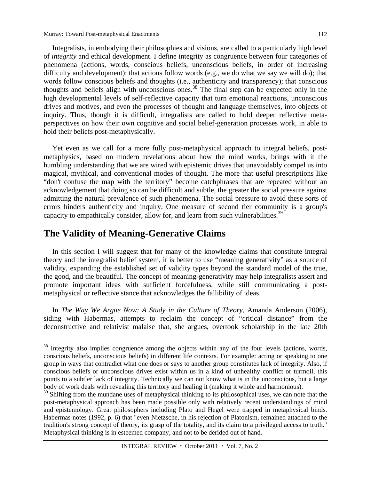Integralists, in embodying their philosophies and visions, are called to a particularly high level of *integrity* and ethical development. I define integrity as congruence between four categories of phenomena (actions, words, conscious beliefs, unconscious beliefs, in order of increasing difficulty and development): that actions follow words (e.g., we do what we say we will do); that words follow conscious beliefs and thoughts (i.e., authenticity and transparency); that conscious thoughts and beliefs align with unconscious ones.38 The final step can be expected only in the high developmental levels of self-reflective capacity that turn emotional reactions, unconscious drives and motives, and even the processes of thought and language themselves, into objects of inquiry. Thus, though it is difficult, integralists are called to hold deeper reflective metaperspectives on how their own cognitive and social belief-generation processes work, in able to hold their beliefs post-metaphysically.

Yet even as we call for a more fully post-metaphysical approach to integral beliefs, postmetaphysics, based on modern revelations about how the mind works, brings with it the humbling understanding that we are wired with epistemic drives that unavoidably compel us into magical, mythical, and conventional modes of thought. The more that useful prescriptions like "don't confuse the map with the territory" become catchphrases that are repeated without an acknowledgement that doing so can be difficult and subtle, the greater the social pressure against admitting the natural prevalence of such phenomena. The social pressure to avoid these sorts of errors hinders authenticity and inquiry. One measure of second tier community is a group's capacity to empathically consider, allow for, and learn from such vulnerabilities.<sup>39</sup>

## **The Validity of Meaning-Generative Claims**

<u>.</u>

In this section I will suggest that for many of the knowledge claims that constitute integral theory and the integralist belief system, it is better to use "meaning generativity" as a source of validity, expanding the established set of validity types beyond the standard model of the true, the good, and the beautiful. The concept of meaning-generativity may help integralists assert and promote important ideas with sufficient forcefulness, while still communicating a postmetaphysical or reflective stance that acknowledges the fallibility of ideas.

In *The Way We Argue Now: A Study in the Culture of Theory, Amanda Anderson (2006),* siding with Habermas, attempts to reclaim the concept of "critical distance" from the deconstructive and relativist malaise that, she argues, overtook scholarship in the late 20th

 $38$  Integrity also implies congruence among the objects within any of the four levels (actions, words, conscious beliefs, unconscious beliefs) in different life contexts. For example: acting or speaking to one group in ways that contradict what one does or says to another group constitutes lack of integrity. Also, if conscious beliefs or unconscious drives exist within us in a kind of unhealthy conflict or turmoil, this points to a subtler lack of integrity. Technically we can not know what is in the unconscious, but a large body of work deals with revealing this territory and healing it (making it whole and harmonious).

 $39$  Shifting from the mundane uses of metaphysical thinking to its philosophical uses, we can note that the post-metaphysical approach has been made possible only with relatively recent understandings of mind and epistemology. Great philosophers including Plato and Hegel were trapped in metaphysical binds. Habermas notes (1992, p. 6) that "even Nietzsche, in his rejection of Platonism, remained attached to the tradition's strong concept of theory, its grasp of the totality, and its claim to a privileged access to truth." Metaphysical thinking is in esteemed company, and not to be derided out of hand.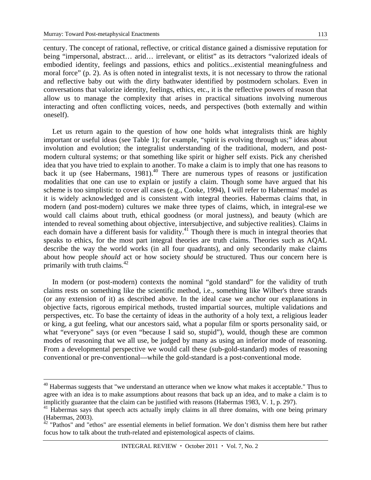century. The concept of rational, reflective, or critical distance gained a dismissive reputation for being "impersonal, abstract… arid… irrelevant, or elitist" as its detractors "valorized ideals of embodied identity, feelings and passions, ethics and politics...existential meaningfulness and moral force" (p. 2). As is often noted in integralist texts, it is not necessary to throw the rational and reflective baby out with the dirty bathwater identified by postmodern scholars. Even in conversations that valorize identity, feelings, ethics, etc., it is the reflective powers of reason that allow us to manage the complexity that arises in practical situations involving numerous interacting and often conflicting voices, needs, and perspectives (both externally and within oneself).

Let us return again to the question of how one holds what integralists think are highly important or useful ideas (see Table 1); for example, "spirit is evolving through us;" ideas about involution and evolution; the integralist understanding of the traditional, modern, and postmodern cultural systems; or that something like spirit or higher self exists. Pick any cherished idea that you have tried to explain to another. To make a claim is to imply that one has reasons to back it up (see Habermans, 1981).<sup>40</sup> There are numerous types of reasons or justification modalities that one can use to explain or justify a claim. Though some have argued that his scheme is too simplistic to cover all cases (e.g., Cooke, 1994), I will refer to Habermas' model as it is widely acknowledged and is consistent with integral theories. Habermas claims that, in modern (and post-modern) cultures we make three types of claims, which, in integral-ese we would call claims about truth, ethical goodness (or moral justness), and beauty (which are intended to reveal something about objective, intersubjective, and subjective realities). Claims in each domain have a different basis for validity.<sup>41</sup> Though there is much in integral theories that speaks to ethics, for the most part integral theories are truth claims. Theories such as AQAL describe the way the world works (in all four quadrants), and only secondarily make claims about how people *should* act or how society *should* be structured. Thus our concern here is primarily with truth claims. $42$ 

In modern (or post-modern) contexts the nominal "gold standard" for the validity of truth claims rests on something like the scientific method, i.e., something like Wilber's three strands (or any extension of it) as described above. In the ideal case we anchor our explanations in objective facts, rigorous empirical methods, trusted impartial sources, multiple validations and perspectives, etc. To base the certainty of ideas in the authority of a holy text, a religious leader or king, a gut feeling, what our ancestors said, what a popular film or sports personality said, or what "everyone" says (or even "because I said so, stupid"), would, though these are common modes of reasoning that we all use, be judged by many as using an inferior mode of reasoning. From a developmental perspective we would call these (sub-gold-standard) modes of reasoning conventional or pre-conventional—while the gold-standard is a post-conventional mode.

<sup>&</sup>lt;sup>40</sup> Habermas suggests that "we understand an utterance when we know what makes it acceptable." Thus to agree with an idea is to make assumptions about reasons that back up an idea, and to make a claim is to implicitly guarantee that the claim can be justified with reasons (Habermas 1983, V. 1, p. 297).

<sup>&</sup>lt;sup>41</sup> Habermas says that speech acts actually imply claims in all three domains, with one being primary (Habermas, 2003).

 $42$  "Pathos" and "ethos" are essential elements in belief formation. We don't dismiss them here but rather focus how to talk about the truth-related and epistemological aspects of claims.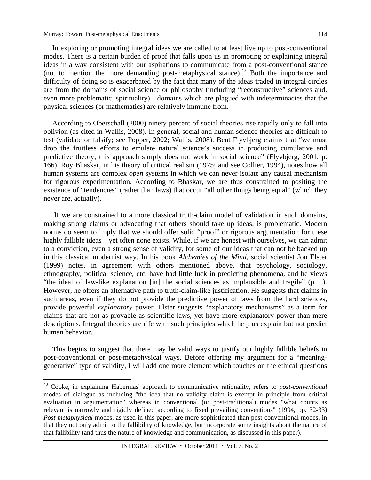In exploring or promoting integral ideas we are called to at least live up to post-conventional modes. There is a certain burden of proof that falls upon us in promoting or explaining integral ideas in a way consistent with our aspirations to communicate from a post-conventional stance (not to mention the more demanding post-metaphysical stance).43 Both the importance and difficulty of doing so is exacerbated by the fact that many of the ideas traded in integral circles are from the domains of social science or philosophy (including "reconstructive" sciences and, even more problematic, spirituality)—domains which are plagued with indeterminacies that the physical sciences (or mathematics) are relatively immune from.

According to Oberschall (2000) ninety percent of social theories rise rapidly only to fall into oblivion (as cited in Wallis, 2008). In general, social and human science theories are difficult to test (validate or falsify; see Popper, 2002; Wallis, 2008). Bent Flyvbjerg claims that "we must drop the fruitless efforts to emulate natural science's success in producing cumulative and predictive theory; this approach simply does not work in social science" (Flyvbjerg, 2001, p. 166). Roy Bhaskar, in his theory of critical realism (1975; and see Collier, 1994), notes how all human systems are complex *open* systems in which we can never isolate any causal mechanism for rigorous experimentation. According to Bhaskar, we are thus constrained to positing the existence of "tendencies" (rather than laws) that occur "all other things being equal" (which they never are, actually).

 If we are constrained to a more classical truth-claim model of validation in such domains, making strong claims or advocating that others should take up ideas, is problematic. Modern norms do seem to imply that we should offer solid "proof" or rigorous argumentation for these highly fallible ideas—yet often none exists. While, if we are honest with ourselves, we can admit to a conviction, even a strong sense of validity, for some of our ideas that can not be backed up in this classical modernist way. In his book *Alchemies of the Mind*, social scientist Jon Elster (1999) notes, in agreement with others mentioned above, that psychology, sociology, ethnography, political science, etc. have had little luck in predicting phenomena, and he views "the ideal of law-like explanation [in] the social sciences as implausible and fragile" (p. 1). However, he offers an alternative path to truth-claim-like justification. He suggests that claims in such areas, even if they do not provide the predictive power of laws from the hard sciences, provide powerful *explanatory* power. Elster suggests "explanatory mechanisms" as a term for claims that are not as provable as scientific laws, yet have more explanatory power than mere descriptions. Integral theories are rife with such principles which help us explain but not predict human behavior.

This begins to suggest that there may be valid ways to justify our highly fallible beliefs in post-conventional or post-metaphysical ways. Before offering my argument for a "meaninggenerative" type of validity, I will add one more element which touches on the ethical questions

<sup>43</sup> Cooke, in explaining Habermas' approach to communicative rationality, refers to *post-conventional* modes of dialogue as including "the idea that no validity claim is exempt in principle from critical evaluation in argumentation" whereas in conventional (or post-traditional) modes "what counts as relevant is narrowly and rigidly defined according to fixed prevailing conventions" (1994, pp. 32-33) *Post-metaphysical* modes, as used in this paper, are more sophisticated than post-conventional modes, in that they not only admit to the fallibility of knowledge, but incorporate some insights about the nature of that fallibility (and thus the nature of knowledge and communication, as discussed in this paper).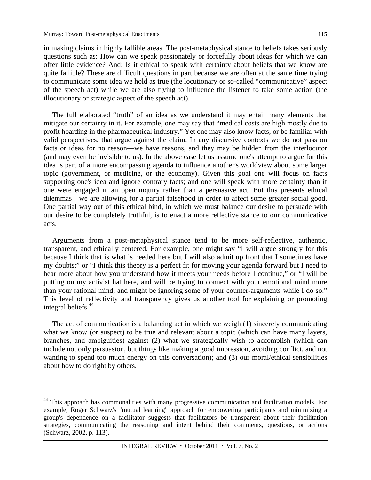in making claims in highly fallible areas. The post-metaphysical stance to beliefs takes seriously questions such as: How can we speak passionately or forcefully about ideas for which we can offer little evidence? And: Is it ethical to speak with certainty about beliefs that we know are quite fallible? These are difficult questions in part because we are often at the same time trying to communicate some idea we hold as true (the locutionary or so-called "communicative" aspect of the speech act) while we are also trying to influence the listener to take some action (the illocutionary or strategic aspect of the speech act).

The full elaborated "truth" of an idea as we understand it may entail many elements that mitigate our certainty in it. For example, one may say that "medical costs are high mostly due to profit hoarding in the pharmaceutical industry." Yet one may also know facts, or be familiar with valid perspectives, that argue against the claim. In any discursive contexts we do not pass on facts or ideas for no reason—we have reasons, and they may be hidden from the interlocutor (and may even be invisible to us). In the above case let us assume one's attempt to argue for this idea is part of a more encompassing agenda to influence another's worldview about some larger topic (government, or medicine, or the economy). Given this goal one will focus on facts supporting one's idea and ignore contrary facts; and one will speak with more certainty than if one were engaged in an open inquiry rather than a persuasive act. But this presents ethical dilemmas—we are allowing for a partial falsehood in order to affect some greater social good. One partial way out of this ethical bind, in which we must balance our desire to persuade with our desire to be completely truthful, is to enact a more reflective stance to our communicative acts.

Arguments from a post-metaphysical stance tend to be more self-reflective, authentic, transparent, and ethically centered. For example, one might say "I will argue strongly for this because I think that is what is needed here but I will also admit up front that I sometimes have my doubts;" or "I think this theory is a perfect fit for moving your agenda forward but I need to hear more about how you understand how it meets your needs before I continue," or "I will be putting on my activist hat here, and will be trying to connect with your emotional mind more than your rational mind, and might be ignoring some of your counter-arguments while I do so." This level of reflectivity and transparency gives us another tool for explaining or promoting integral beliefs.44

The act of communication is a balancing act in which we weigh (1) sincerely communicating what we know (or suspect) to be true and relevant about a topic (which can have many layers, branches, and ambiguities) against (2) what we strategically wish to accomplish (which can include not only persuasion, but things like making a good impression, avoiding conflict, and not wanting to spend too much energy on this conversation); and (3) our moral/ethical sensibilities about how to do right by others.

 $\overline{a}$ <sup>44</sup> This approach has commonalities with many progressive communication and facilitation models. For example, Roger Schwarz's "mutual learning" approach for empowering participants and minimizing a group's dependence on a facilitator suggests that facilitators be transparent about their facilitation strategies, communicating the reasoning and intent behind their comments, questions, or actions (Schwarz, 2002, p. 113).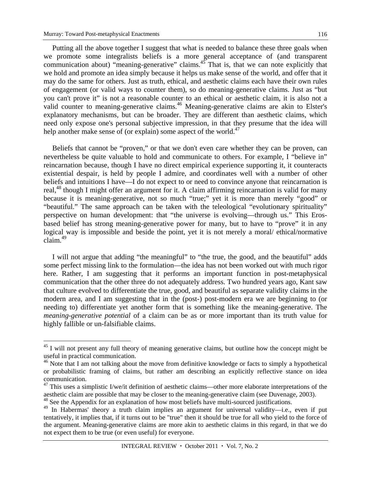Putting all the above together I suggest that what is needed to balance these three goals when we promote some integralists beliefs is a more general acceptance of (and transparent communication about) "meaning-generative" claims.<sup>45</sup> That is, that we can note explicitly that we hold and promote an idea simply because it helps us make sense of the world, and offer that it may do the same for others. Just as truth, ethical, and aesthetic claims each have their own rules of engagement (or valid ways to counter them), so do meaning-generative claims. Just as "but you can't prove it" is not a reasonable counter to an ethical or aesthetic claim, it is also not a valid counter to meaning-generative claims.<sup>46</sup> Meaning-generative claims are akin to Elster's explanatory mechanisms, but can be broader. They are different than aesthetic claims, which need only expose one's personal subjective impression, in that they presume that the idea will help another make sense of (or explain) some aspect of the world.<sup>47</sup>

Beliefs that cannot be "proven," or that we don't even care whether they can be proven, can nevertheless be quite valuable to hold and communicate to others. For example, I "believe in" reincarnation because, though I have no direct empirical experience supporting it, it counteracts existential despair, is held by people I admire, and coordinates well with a number of other beliefs and intuitions I have—I do not expect to or need to convince anyone that reincarnation is real,<sup>48</sup> though I might offer an argument for it. A claim affirming reincarnation is valid for many because it is meaning-generative, not so much "true;" yet it is more than merely "good" or "beautiful." The same approach can be taken with the teleological "evolutionary spirituality" perspective on human development: that "the universe is evolving––through us." This Erosbased belief has strong meaning-generative power for many, but to have to "prove" it in any logical way is impossible and beside the point, yet it is not merely a moral/ ethical/normative claim.49

I will not argue that adding "the meaningful" to "the true, the good, and the beautiful" adds some perfect missing link to the formulation—the idea has not been worked out with much rigor here. Rather, I am suggesting that it performs an important function in post-metaphysical communication that the other three do not adequately address. Two hundred years ago, Kant saw that culture evolved to differentiate the true, good, and beautiful as separate validity claims in the modern area, and I am suggesting that in the (post-) post-modern era we are beginning to (or needing to) differentiate yet another form that is something like the meaning-generative. The *meaning-generative potential* of a claim can be as or more important than its truth value for highly fallible or un-falsifiable claims.

<sup>&</sup>lt;sup>45</sup> I will not present any full theory of meaning generative claims, but outline how the concept might be useful in practical communication.

<sup>&</sup>lt;sup>46</sup> Note that I am not talking about the move from definitive knowledge or facts to simply a hypothetical or probabilistic framing of claims, but rather am describing an explicitly reflective stance on idea communication.

<sup>47</sup> This uses a simplistic I/we/it definition of aesthetic claims—other more elaborate interpretations of the aesthetic claim are possible that may be closer to the meaning-generative claim (see Duvenage, 2003).

<sup>&</sup>lt;sup>48</sup> See the Appendix for an explanation of how most beliefs have multi-sourced justifications.

<sup>&</sup>lt;sup>49</sup> In Habermas' theory a truth claim implies an argument for universal validity—i.e., even if put tentatively, it implies that, if it turns out to be "true" then it should be true for all who yield to the force of the argument. Meaning-generative claims are more akin to aesthetic claims in this regard, in that we do not expect them to be true (or even useful) for everyone.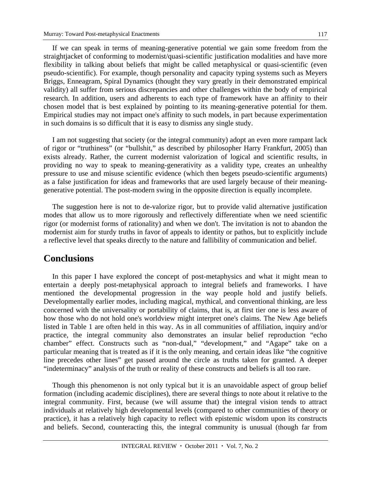If we can speak in terms of meaning-generative potential we gain some freedom from the straightjacket of conforming to modernist/quasi-scientific justification modalities and have more flexibility in talking about beliefs that might be called metaphysical or quasi-scientific (even pseudo-scientific). For example, though personality and capacity typing systems such as Meyers Briggs, Enneagram, Spiral Dynamics (thought they vary greatly in their demonstrated empirical validity) all suffer from serious discrepancies and other challenges within the body of empirical research. In addition, users and adherents to each type of framework have an affinity to their chosen model that is best explained by pointing to its meaning-generative potential for them. Empirical studies may not impact one's affinity to such models, in part because experimentation in such domains is so difficult that it is easy to dismiss any single study.

I am not suggesting that society (or the integral community) adopt an even more rampant lack of rigor or "truthiness" (or "bullshit," as described by philosopher Harry Frankfurt, 2005) than exists already. Rather, the current modernist valorization of logical and scientific results, in providing no way to speak to meaning-generativity as a validity type, creates an unhealthy pressure to use and misuse scientific evidence (which then begets pseudo-scientific arguments) as a false justification for ideas and frameworks that are used largely because of their meaninggenerative potential. The post-modern swing in the opposite direction is equally incomplete.

The suggestion here is not to de-valorize rigor, but to provide valid alternative justification modes that allow us to more rigorously and reflectively differentiate when we need scientific rigor (or modernist forms of rationality) and when we don't. The invitation is not to abandon the modernist aim for sturdy truths in favor of appeals to identity or pathos, but to explicitly include a reflective level that speaks directly to the nature and fallibility of communication and belief.

## **Conclusions**

In this paper I have explored the concept of post-metaphysics and what it might mean to entertain a deeply post-metaphysical approach to integral beliefs and frameworks. I have mentioned the developmental progression in the way people hold and justify beliefs. Developmentally earlier modes, including magical, mythical, and conventional thinking, are less concerned with the universality or portability of claims, that is, at first tier one is less aware of how those who do not hold one's worldview might interpret one's claims. The New Age beliefs listed in Table 1 are often held in this way. As in all communities of affiliation, inquiry and/or practice, the integral community also demonstrates an insular belief reproduction "echo chamber" effect. Constructs such as "non-dual," "development," and "Agape" take on a particular meaning that is treated as if it is the only meaning, and certain ideas like "the cognitive line precedes other lines" get passed around the circle as truths taken for granted. A deeper "indeterminacy" analysis of the truth or reality of these constructs and beliefs is all too rare.

Though this phenomenon is not only typical but it is an unavoidable aspect of group belief formation (including academic disciplines), there are several things to note about it relative to the integral community. First, because (we will assume that) the integral vision tends to attract individuals at relatively high developmental levels (compared to other communities of theory or practice), it has a relatively high capacity to reflect with epistemic wisdom upon its constructs and beliefs. Second, counteracting this, the integral community is unusual (though far from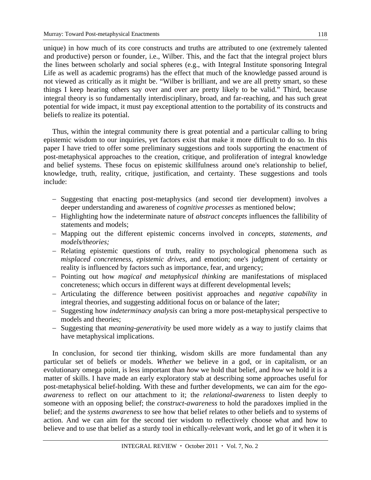unique) in how much of its core constructs and truths are attributed to one (extremely talented and productive) person or founder, i.e., Wilber. This, and the fact that the integral project blurs the lines between scholarly and social spheres (e.g., with Integral Institute sponsoring Integral Life as well as academic programs) has the effect that much of the knowledge passed around is not viewed as critically as it might be. "Wilber is brilliant, and we are all pretty smart, so these things I keep hearing others say over and over are pretty likely to be valid." Third, because integral theory is so fundamentally interdisciplinary, broad, and far-reaching, and has such great potential for wide impact, it must pay exceptional attention to the portability of its constructs and beliefs to realize its potential.

Thus, within the integral community there is great potential and a particular calling to bring epistemic wisdom to our inquiries, yet factors exist that make it more difficult to do so. In this paper I have tried to offer some preliminary suggestions and tools supporting the enactment of post-metaphysical approaches to the creation, critique, and proliferation of integral knowledge and belief systems. These focus on epistemic skillfulness around one's relationship to belief, knowledge, truth, reality, critique, justification, and certainty. These suggestions and tools include:

- Suggesting that enacting post-metaphysics (and second tier development) involves a deeper understanding and awareness of *cognitive processes* as mentioned below;
- Highlighting how the indeterminate nature of *abstract concepts* influences the fallibility of statements and models;
- Mapping out the different epistemic concerns involved in *concepts, statements, and models/theories;*
- Relating epistemic questions of truth, reality to psychological phenomena such as *misplaced concreteness, epistemic drives,* and emotion; one's judgment of certainty or reality is influenced by factors such as importance, fear, and urgency;
- Pointing out how *magical and metaphysical thinking* are manifestations of misplaced concreteness; which occurs in different ways at different developmental levels;
- Articulating the difference between positivist approaches and *negative capability* in integral theories, and suggesting additional focus on or balance of the later;
- Suggesting how *indeterminacy analysis* can bring a more post-metaphysical perspective to models and theories;
- Suggesting that *meaning-generativity* be used more widely as a way to justify claims that have metaphysical implications.

In conclusion, for second tier thinking, wisdom skills are more fundamental than any particular set of beliefs or models. *Whether* we believe in a god, or in capitalism, or an evolutionary omega point, is less important than *how* we hold that belief, and *how* we hold it is a matter of skills. I have made an early exploratory stab at describing some approaches useful for post-metaphysical belief-holding. With these and further developments, we can aim for the *egoawareness* to reflect on our attachment to it; the *relational-awareness* to listen deeply to someone with an opposing belief; the *construct-awareness* to hold the paradoxes implied in the belief; and the *systems awareness* to see how that belief relates to other beliefs and to systems of action. And we can aim for the second tier wisdom to reflectively choose what and how to believe and to use that belief as a sturdy tool in ethically-relevant work, and let go of it when it is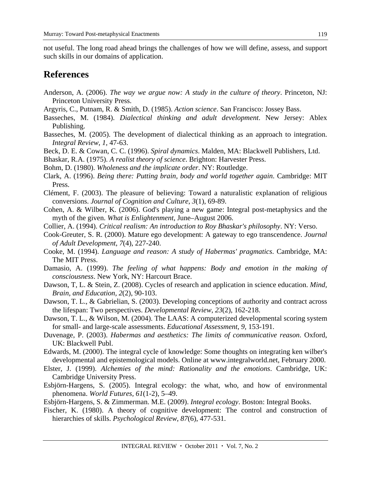not useful. The long road ahead brings the challenges of how we will define, assess, and support such skills in our domains of application.

# **References**

- Anderson, A. (2006). *The way we argue now: A study in the culture of theory*. Princeton, NJ: Princeton University Press.
- Argyris, C., Putnam, R. & Smith, D. (1985). *Action science*. San Francisco: Jossey Bass.
- Basseches, M. (1984). *Dialectical thinking and adult development*. New Jersey: Ablex Publishing.
- Basseches, M. (2005). The development of dialectical thinking as an approach to integration. *Integral Review*, *1,* 47-63.
- Beck, D. E. & Cowan, C. C. (1996). *Spiral dynamics*. Malden, MA: Blackwell Publishers, Ltd.
- Bhaskar, R.A. (1975). *A realist theory of science*. Brighton: Harvester Press.
- Bohm, D. (1980). *Wholeness and the implicate order*. NY: Routledge.
- Clark, A. (1996). *Being there: Putting brain, body and world together again*. Cambridge: MIT Press.
- Clément, F. (2003). The pleasure of believing: Toward a naturalistic explanation of religious conversions. *Journal of Cognition and Culture*, *3*(1), 69-89.
- Cohen, A. & Wilber, K. (2006). God's playing a new game: Integral post-metaphysics and the myth of the given. *What is Enlightenment*, June–August 2006.
- Collier, A. (1994). *Critical realism: An introduction to Roy Bhaskar's philosophy*. NY: Verso.
- Cook-Greuter, S. R. (2000). Mature ego development: A gateway to ego transcendence. *Journal of Adult Development*, *7*(4), 227-240.
- Cooke, M. (1994). *Language and reason: A study of Habermas' pragmatics*. Cambridge, MA: The MIT Press.
- Damasio, A. (1999). *The feeling of what happens: Body and emotion in the making of consciousness*. New York, NY: Harcourt Brace.
- Dawson, T, L. & Stein, Z. (2008). Cycles of research and application in science education. *Mind, Brain, and Education, 2*(2), 90-103.
- Dawson, T. L., & Gabrielian, S. (2003). Developing conceptions of authority and contract across the lifespan: Two perspectives. *Developmental Review*, *23*(2), 162-218.
- Dawson, T. L., & Wilson, M. (2004). The LAAS: A computerized developmental scoring system for small- and large-scale assessments. *Educational Assessment*, *9,* 153-191.
- Duvenage, P. (2003). *Habermas and aesthetics: The limits of communicative reason*. Oxford, UK: Blackwell Publ.
- Edwards, M. (2000). The integral cycle of knowledge: Some thoughts on integrating ken wilber's developmental and epistemological models. Online at www.integralworld.net, February 2000.
- Elster, J. (1999). *Alchemies of the mind: Rationality and the emotions*. Cambridge, UK: Cambridge University Press.
- Esbjörn-Hargens, S. (2005). Integral ecology: the what, who, and how of environmental phenomena. *World Futures, 61*(1-2), 5–49.
- Esbjörn-Hargens, S. & Zimmerman. M.E. (2009). *Integral ecology*. Boston: Integral Books.
- Fischer, K. (1980). A theory of cognitive development: The control and construction of hierarchies of skills. *Psychological Review*, *87*(6), 477-531.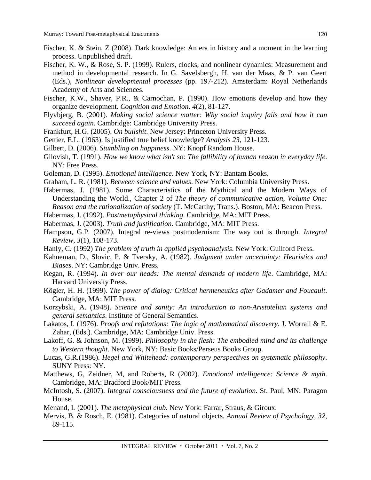- Fischer, K. & Stein, Z (2008). Dark knowledge: An era in history and a moment in the learning process. Unpublished draft.
- Fischer, K. W., & Rose, S. P. (1999). Rulers, clocks, and nonlinear dynamics: Measurement and method in developmental research. In G. Savelsbergh, H. van der Maas, & P. van Geert (Eds.), *Nonlinear developmental processes* (pp. 197-212). Amsterdam: Royal Netherlands Academy of Arts and Sciences.
- Fischer, K.W., Shaver, P.R., & Carnochan, P. (1990). How emotions develop and how they organize development. *Cognition and Emotion*. *4*(2), 81-127.
- Flyvbjerg, B. (2001). *Making social science matter: Why social inquiry fails and how it can succeed again*. Cambridge: Cambridge University Press.
- Frankfurt, H.G. (2005). *On bullshit*. New Jersey: Princeton University Press.
- Gettier, E.L. (1963). Is justified true belief knowledge? *Analysis 23*, 121-123.
- Gilbert, D. (2006). *Stumbling on happiness*. NY: Knopf Random House.
- Gilovish, T. (1991). *How we know what isn't so: The fallibility of human reason in everyday life*. NY: Free Press.
- Goleman, D. (1995). *Emotional intelligence*. New York, NY: Bantam Books.
- Graham, L. R. (1981). *Between science and values*. New York: Columbia University Press.
- Habermas, J. (1981). Some Characteristics of the Mythical and the Modern Ways of Understanding the World., Chapter 2 of *The theory of communicative action, Volume One: Reason and the rationalization of society* (T. McCarthy, Trans.). Boston, MA: Beacon Press.
- Habermas, J. (1992). *Postmetaphysical thinking*. Cambridge, MA: MIT Press.
- Habermas, J. (2003). *Truth and justification*. Cambridge, MA: MIT Press.
- Hampson, G.P. (2007). Integral re-views postmodernism: The way out is through. *Integral Review, 3*(1), 108-173.
- Hanly, C. (1992) *The problem of truth in applied psychoanalysis*. New York: Guilford Press.
- Kahneman, D., Slovic, P. & Tversky, A. (1982). *Judgment under uncertainty: Heuristics and Biases*. NY: Cambridge Univ. Press.
- Kegan, R. (1994). *In over our heads: The mental demands of modern life*. Cambridge, MA: Harvard University Press.
- Kögler, H. H. (1999). *The power of dialog: Critical hermeneutics after Gadamer and Foucault*. Cambridge, MA: MIT Press.
- Korzybski, A. (1948). *Science and sanity: An introduction to non-Aristotelian systems and general semantics*. Institute of General Semantics.
- Lakatos, I. (1976). *Proofs and refutations: The logic of mathematical discovery*. J. Worrall & E. Zahar, (Eds.). Cambridge, MA: Cambridge Univ. Press.
- Lakoff, G. & Johnson, M. (1999). *Philosophy in the flesh: The embodied mind and its challenge to Western thought*. New York, NY: Basic Books/Perseus Books Group.
- Lucas, G.R.(1986). *Hegel and Whitehead: contemporary perspectives on systematic philosophy*. SUNY Press: NY.
- Matthews, G, Zeidner, M, and Roberts, R (2002). *Emotional intelligence: Science & myth*. Cambridge, MA: Bradford Book/MIT Press.
- McIntosh, S. (2007). *Integral consciousness and the future of evolution.* St. Paul, MN: Paragon House.
- Menand, L (2001). *The metaphysical club.* New York: Farrar, Straus, & Giroux.
- Mervis, B. & Rosch, E. (1981). Categories of natural objects. *Annual Review of Psychology*, *32*, 89-115.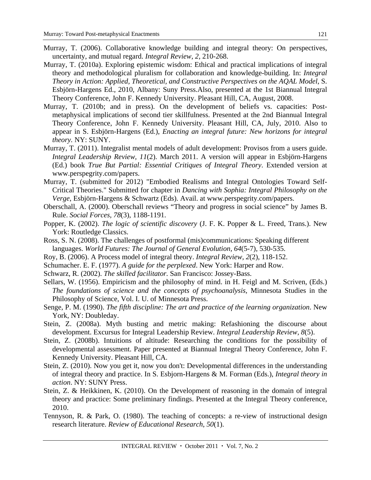- Murray, T. (2006). Collaborative knowledge building and integral theory: On perspectives, uncertainty, and mutual regard. *Integral Review*, *2,* 210-268.
- Murray, T. (2010a). Exploring epistemic wisdom: Ethical and practical implications of integral theory and methodological pluralism for collaboration and knowledge-building. In: *Integral Theory in Action: Applied, Theoretical, and Constructive Perspectives on the AQAL Model*, S. Esbjörn-Hargens Ed., 2010, Albany: Suny Press.Also, presented at the 1st Biannual Integral Theory Conference, John F. Kennedy University. Pleasant Hill, CA, August, 2008.
- Murray, T. (2010b; and in press). On the development of beliefs vs. capacities: Postmetaphysical implications of second tier skillfulness. Presented at the 2nd Biannual Integral Theory Conference, John F. Kennedy University. Pleasant Hill, CA, July, 2010. Also to appear in S. Esbjörn-Hargens (Ed.), *Enacting an integral future: New horizons for integral theory.* NY: SUNY.
- Murray, T. (2011). Integralist mental models of adult development: Provisos from a users guide. *Integral Leadership Review, 11*(2). March 2011. A version will appear in Esbjörn-Hargens (Ed.) book *True But Partial: Essential Critiques of Integral Theory*. Extended version at www.perspegrity.com/papers.
- Murray, T. (submitted for 2012) "Embodied Realisms and Integral Ontologies Toward Self-Critical Theories." Submitted for chapter in *Dancing with Sophia: Integral Philosophy on the Verge*, Esbjörn-Hargens & Schwartz (Eds). Avail. at www.perspegrity.com/papers.
- Oberschall, A. (2000). Oberschall reviews "Theory and progress in social science" by James B. Rule. *Social Forces, 78*(3), 1188-1191.
- Popper, K. (2002). *The logic of scientific discovery* (J. F. K. Popper & L. Freed, Trans.). New York: Routledge Classics.
- Ross, S. N. (2008). The challenges of postformal (mis)communications: Speaking different languages. *World Futures: The Journal of General Evolution, 64*(5-7), 530-535.
- Roy, B. (2006). A Process model of integral theory. *Integral Review, 2*(2), 118-152.
- Schumacher. E. F. (1977). *A guide for the perplexed*. New York: Harper and Row.
- Schwarz, R. (2002). *The skilled facilitator.* San Francisco: Jossey-Bass.
- Sellars, W. (1956). Empiricism and the philosophy of mind. in H. Feigl and M. Scriven, (Eds.) *The foundations of science and the concepts of psychoanalysis,* Minnesota Studies in the Philosophy of Science, Vol. I. U. of Minnesota Press.
- Senge, P. M. (1990). *The fifth discipline: The art and practice of the learning organization*. New York, NY: Doubleday.
- Stein, Z. (2008a). Myth busting and metric making: Refashioning the discourse about development. Excursus for Integral Leadership Review. *Integral Leadership Review, 8*(5).
- Stein, Z. (2008b). Intuitions of altitude: Researching the conditions for the possibility of developmental assessment. Paper presented at Biannual Integral Theory Conference, John F. Kennedy University. Pleasant Hill, CA.
- Stein, Z. (2010). Now you get it, now you don't: Developmental differences in the understanding of integral theory and practice. In S. Esbjorn-Hargens & M. Forman (Eds.), *Integral theory in action*. NY: SUNY Press.
- Stein, Z. & Heikkinen, K. (2010). On the Development of reasoning in the domain of integral theory and practice: Some preliminary findings. Presented at the Integral Theory conference, 2010.
- Tennyson, R. & Park, O. (1980). The teaching of concepts: a re-view of instructional design research literature. *Review of Educational Research*, *50*(1).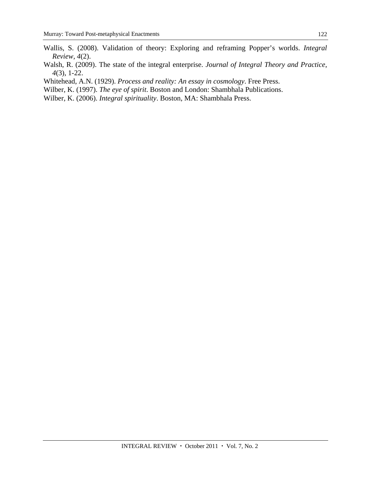- Wallis, S. (2008). Validation of theory: Exploring and reframing Popper's worlds. *Integral Review, 4*(2).
- Walsh, R. (2009). The state of the integral enterprise. *Journal of Integral Theory and Practice*, *4*(3), 1-22.
- Whitehead, A.N. (1929). *Process and reality: An essay in cosmology*. Free Press.
- Wilber, K. (1997). *The eye of spirit*. Boston and London: Shambhala Publications.
- Wilber, K. (2006). *Integral spirituality*. Boston, MA: Shambhala Press.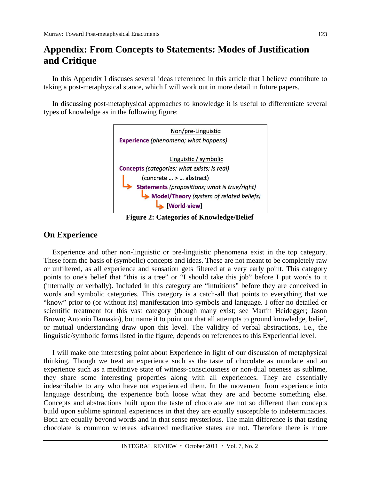# **Appendix: From Concepts to Statements: Modes of Justification and Critique**

In this Appendix I discuses several ideas referenced in this article that I believe contribute to taking a post-metaphysical stance, which I will work out in more detail in future papers.

In discussing post-metaphysical approaches to knowledge it is useful to differentiate several types of knowledge as in the following figure:



**Figure 2: Categories of Knowledge/Belief** 

# **On Experience**

Experience and other non-linguistic or pre-linguistic phenomena exist in the top category. These form the basis of (symbolic) concepts and ideas. These are not meant to be completely raw or unfiltered, as all experience and sensation gets filtered at a very early point. This category points to one's belief that "this is a tree" or "I should take this job" before I put words to it (internally or verbally). Included in this category are "intuitions" before they are conceived in words and symbolic categories. This category is a catch-all that points to everything that we "know" prior to (or without its) manifestation into symbols and language. I offer no detailed or scientific treatment for this vast category (though many exist; see Martin Heidegger; Jason Brown; Antonio Damasio), but name it to point out that all attempts to ground knowledge, belief, or mutual understanding draw upon this level. The validity of verbal abstractions, i.e., the linguistic/symbolic forms listed in the figure, depends on references to this Experiential level.

I will make one interesting point about Experience in light of our discussion of metaphysical thinking. Though we treat an experience such as the taste of chocolate as mundane and an experience such as a meditative state of witness-consciousness or non-dual oneness as sublime, they share some interesting properties along with all experiences. They are essentially indescribable to any who have not experienced them. In the movement from experience into language describing the experience both loose what they are and become something else. Concepts and abstractions built upon the taste of chocolate are not so different than concepts build upon sublime spiritual experiences in that they are equally susceptible to indeterminacies. Both are equally beyond words and in that sense mysterious. The main difference is that tasting chocolate is common whereas advanced meditative states are not. Therefore there is more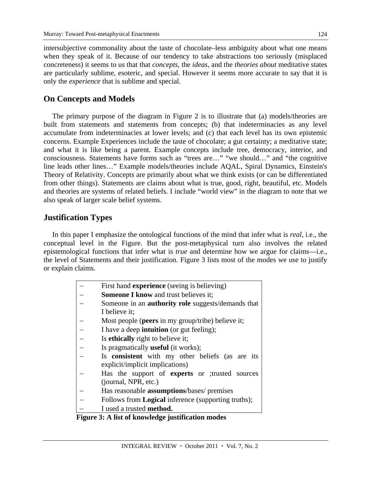124

intersubjective commonality about the taste of chocolate–less ambiguity about what one means when they speak of it. Because of our tendency to take abstractions too seriously (misplaced concreteness) it seems to us that that *concepts*, the *ideas*, and the *theories about* meditative states are particularly sublime, esoteric, and special. However it seems more accurate to say that it is only the *experience* that is sublime and special.

### **On Concepts and Models**

The primary purpose of the diagram in Figure 2 is to illustrate that (a) models/theories are built from statements and statements from concepts; (b) that indeterminacies as any level accumulate from indeterminacies at lower levels; and (c) that each level has its own epistemic concerns. Example Experiences include the taste of chocolate; a gut certainty; a meditative state; and what it is like being a parent. Example concepts include tree, democracy, interior, and consciousness. Statements have forms such as "trees are…" "we should…" and "the cognitive line leads other lines…" Example models/theories include AQAL, Spiral Dynamics, Einstein's Theory of Relativity. Concepts are primarily about what we think exists (or can be differentiated from other things). Statements are claims about what is true, good, right, beautiful, etc. Models and theories are systems of related beliefs. I include "world view" in the diagram to note that we also speak of larger scale belief systems.

### **Justification Types**

In this paper I emphasize the ontological functions of the mind that infer what is *real*, i.e., the conceptual level in the Figure. But the post-metaphysical turn also involves the related epistemological functions that infer what is *true* and determine how we argue for claims—i.e., the level of Statements and their justification. Figure 3 lists most of the modes we use to justify or explain claims.

| First hand <b>experience</b> (seeing is believing)         |  |
|------------------------------------------------------------|--|
| <b>Someone I know and trust believes it;</b>               |  |
| Someone in an <b>authority role</b> suggests/demands that  |  |
| I believe it;                                              |  |
| Most people (peers in my group/tribe) believe it;          |  |
| I have a deep <b>intuition</b> (or gut feeling);           |  |
| Is ethically right to believe it;                          |  |
| Is pragmatically <b>useful</b> (it works);                 |  |
| Is <b>consistent</b> with my other beliefs (as are its     |  |
| explicit/implicit implications)                            |  |
| Has the support of experts or ;trusted sources             |  |
| (journal, NPR, etc.)                                       |  |
| Has reasonable <b>assumptions</b> /bases/ premises         |  |
| Follows from <b>Logical</b> inference (supporting truths); |  |
| I used a trusted method.                                   |  |

 **Figure 3: A list of knowledge justification modes**